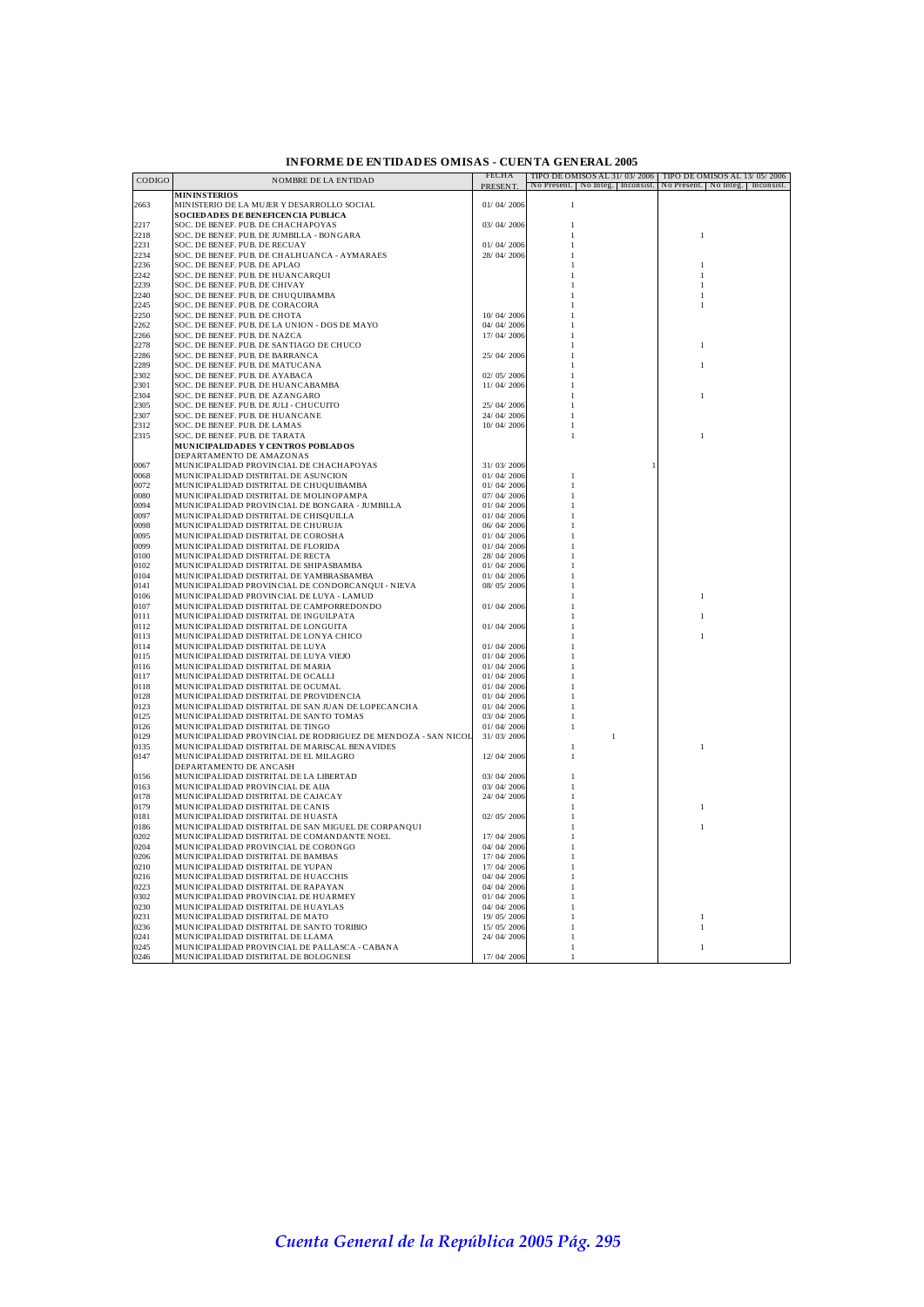| <b>INFORME DE ENTIDADES OMISAS - CUENTA GENERAL 2005</b> |
|----------------------------------------------------------|
|----------------------------------------------------------|

| CODIGO       | <b>NOMBRE DE LA ENTIDAD</b>                                                            | FECHA<br>PRESENT. | No Present. No Integ. Inconsist. No Present. No Integ. Inconsist. | TIPO DE OMISOS AL 31/03/2006 TIPO DE OMISOS AL 13/05/2006 |
|--------------|----------------------------------------------------------------------------------------|-------------------|-------------------------------------------------------------------|-----------------------------------------------------------|
|              | <b>MININSTERIOS</b>                                                                    |                   |                                                                   |                                                           |
| 2663         | MINISTERIO DE LA MUJER Y DESARROLLO SOCIAL                                             | 01/04/2006        | $\mathbf{I}$                                                      |                                                           |
|              | <b>SOCIEDADES DE BENEFICENCIA PUBLICA</b>                                              |                   |                                                                   |                                                           |
| 2217         | SOC. DE BENEF. PUB. DE CHACHAPOYAS                                                     | 03/04/2006        |                                                                   |                                                           |
| 2218<br>2231 | SOC. DE BENEF. PUB. DE JUMBILLA - BONGARA<br>SOC. DE BENEF. PUB. DE RECUAY             | 01/04/2006        |                                                                   | $\,$ $\,$                                                 |
| 2234         | SOC. DE BENEF. PUB. DE CHALHUANCA - AYMARAES                                           | 28/04/2006        |                                                                   |                                                           |
| 2236         | SOC. DE BENEF. PUB. DE APLAO                                                           |                   |                                                                   |                                                           |
| 2242         | SOC. DE BENEF. PUB. DE HUANCARQUI                                                      |                   |                                                                   |                                                           |
| 2239         | SOC. DE BENEF. PUB. DE CHIVAY                                                          |                   |                                                                   |                                                           |
| 2240         | SOC. DE BENEF. PUB. DE CHUQUIBAMBA                                                     |                   |                                                                   |                                                           |
| 2245         | SOC. DE BENEF. PUB. DE CORACORA                                                        |                   |                                                                   |                                                           |
| 2250         | SOC. DE BENEF. PUB. DE CHOTA                                                           | 10/04/2006        |                                                                   |                                                           |
| 2262         | SOC. DE BENEF. PUB. DE LA UNION - DOS DE MAYO                                          | 04/04/2006        |                                                                   |                                                           |
| 2266         | SOC. DE BENEF. PUB. DE NAZCA                                                           | 17/04/2006        |                                                                   |                                                           |
| 2278         | SOC. DE BENEF. PUB. DE SANTIAGO DE CHUCO                                               |                   |                                                                   |                                                           |
| 2286         | SOC. DE BENEF. PUB. DE BARRANCA                                                        | 25/04/2006        |                                                                   |                                                           |
| 2289<br>2302 | SOC. DE BENEF. PUB. DE MATUCANA                                                        | 02/05/2006        |                                                                   |                                                           |
| 2301         | SOC. DE BENEF. PUB. DE AYABACA<br>SOC. DE BENEF. PUB. DE HUANCABAMBA                   |                   |                                                                   |                                                           |
| 2304         | SOC. DE BENEF. PUB. DE AZANGARO                                                        | 11/04/2006        |                                                                   |                                                           |
| 2305         | SOC. DE BENEF. PUB. DE JULI - CHUCUITO                                                 | 25/04/2006        |                                                                   |                                                           |
| 2307         | SOC. DE BENEF. PUB. DE HUANCANE                                                        | 24/04/2006        |                                                                   |                                                           |
| 2312         | SOC. DE BENEF. PUB. DE LAMAS                                                           | 10/04/2006        |                                                                   |                                                           |
| 2315         | SOC. DE BENEF. PUB. DE TARATA                                                          |                   |                                                                   | $\mathbf{1}$                                              |
|              | MUNICIPALIDADES Y CENTROS POBLADOS                                                     |                   |                                                                   |                                                           |
|              | DEPARTAMENTO DE AMAZONAS                                                               |                   |                                                                   |                                                           |
| 0067         | MUNICIPALIDAD PROVINCIAL DE CHACHAPOYAS                                                | 31/03/2006        |                                                                   |                                                           |
| 0068         | MUNICIPALIDAD DISTRITAL DE ASUNCION                                                    | 01/04/2006        |                                                                   |                                                           |
| 0072         | MUNICIPALIDAD DISTRITAL DE CHUQUIBAMBA                                                 | 01/04/2006        |                                                                   |                                                           |
| 0080         | MUNICIPALIDAD DISTRITAL DE MOLINOPAMPA                                                 | 07/04/2006        |                                                                   |                                                           |
| 0094         | MUNICIPALIDAD PROVINCIAL DE BONGARA - JUMBILLA                                         | 01/04/2006        |                                                                   |                                                           |
| 0097         | MUNICIPALIDAD DISTRITAL DE CHISQUILLA                                                  | 01/04/2006        |                                                                   |                                                           |
| 0098         | MUNICIPALIDAD DISTRITAL DE CHURUJA                                                     | 06/04/2006        |                                                                   |                                                           |
| 0095         | MUNICIPALIDAD DISTRITAL DE COROSHA                                                     | 01/04/2006        |                                                                   |                                                           |
| 0099         | MUNICIPALIDAD DISTRITAL DE FLORIDA                                                     | 01/04/2006        |                                                                   |                                                           |
| 0100         | MUNICIPALIDAD DISTRITAL DE RECTA                                                       | 28/04/2006        |                                                                   |                                                           |
| 0102         | MUNICIPALIDAD DISTRITAL DE SHIPASBAMBA                                                 | 01/04/2006        |                                                                   |                                                           |
| 0104         | MUNICIPALIDAD DISTRITAL DE YAMBRASBAMBA                                                | 01/04/2006        |                                                                   |                                                           |
| 0141<br>0106 | MUNICIPALIDAD PROVINCIAL DE CONDORCANQUI - NIEVA                                       | 08/05/2006        |                                                                   | $\mathbf{1}$                                              |
| 0107         | MUNICIPALIDAD PROVINCIAL DE LUYA - LAMUD<br>MUNICIPALIDAD DISTRITAL DE CAMPORREDONDO   | 01/04/2006        |                                                                   |                                                           |
| 0111         | MUNICIPALIDAD DISTRITAL DE INGUILPATA                                                  |                   |                                                                   |                                                           |
| 0112         | MUNICIPALIDAD DISTRITAL DE LONGUITA                                                    | 01/04/2006        |                                                                   |                                                           |
| 0113         | MUNICIPALIDAD DISTRITAL DE LONYA CHICO                                                 |                   |                                                                   |                                                           |
| 0114         | MUNICIPALIDAD DISTRITAL DE LUYA                                                        | 01/04/2006        |                                                                   |                                                           |
| 0115         | MUNICIPALIDAD DISTRITAL DE LUYA VIEJO                                                  | 01/04/2006        |                                                                   |                                                           |
| 0116         | MUNICIPALIDAD DISTRITAL DE MARIA                                                       | 01/04/2006        |                                                                   |                                                           |
| 0117         | MUNICIPALIDAD DISTRITAL DE OCALLI                                                      | 01/04/2006        |                                                                   |                                                           |
| 0118         | MUNICIPALIDAD DISTRITAL DE OCUMAL                                                      | 01/04/2006        |                                                                   |                                                           |
| 0128         | MUNICIPALIDAD DISTRITAL DE PROVIDENCIA                                                 | 01/04/2006        |                                                                   |                                                           |
| 0123         | MUNICIPALIDAD DISTRITAL DE SAN JUAN DE LOPECANCHA                                      | 01/04/2006        |                                                                   |                                                           |
| 0125         | MUNICIPALIDAD DISTRITAL DE SANTO TOMAS                                                 | 03/04/2006        |                                                                   |                                                           |
| 0126         | MUNICIPALIDAD DISTRITAL DE TINGO                                                       | 01/04/2006        |                                                                   |                                                           |
| 0129         | MUNICIPALIDAD PROVINCIAL DE RODRIGUEZ DE MENDOZA - SAN NICOL                           | 31/03/2006        | 1                                                                 |                                                           |
| 0135<br>0147 | MUNICIPALIDAD DISTRITAL DE MARISCAL BENAVIDES<br>MUNICIPALIDAD DISTRITAL DE EL MILAGRO | 12/04/2006        | -1                                                                | $\mathbf{1}$                                              |
|              | DEPARTAMENTO DE ANCASH                                                                 |                   |                                                                   |                                                           |
| 0156         | MUNICIPALIDAD DISTRITAL DE LA LIBERTAD                                                 | 03/04/2006        |                                                                   |                                                           |
| 0163         | MUNICIPALIDAD PROVINCIAL DE AIJA                                                       | 03/04/2006        |                                                                   |                                                           |
| 0178         | MUNICIPALIDAD DISTRITAL DE CAJACAY                                                     | 24/04/2006        |                                                                   |                                                           |
| 0179         | MUNICIPALIDAD DISTRITAL DE CANIS                                                       |                   |                                                                   | $\mathbf{1}$                                              |
| 0181         | MUNICIPALIDAD DISTRITAL DE HUASTA                                                      | 02/05/2006        |                                                                   |                                                           |
| 0186         | MUNICIPALIDAD DISTRITAL DE SAN MIGUEL DE CORPANQUI                                     |                   |                                                                   | -1                                                        |
| 0202         | MUNICIPALIDAD DISTRITAL DE COMANDANTE NOEL                                             | 17/04/2006        |                                                                   |                                                           |
| 0204         | MUNICIPALIDAD PROVINCIAL DE CORONGO                                                    | 04/04/2006        |                                                                   |                                                           |
| 0206         | MUNICIPALIDAD DISTRITAL DE BAMBAS                                                      | 17/04/2006        |                                                                   |                                                           |
| 0210         | MUNICIPALIDAD DISTRITAL DE YUPAN                                                       | 17/04/2006        |                                                                   |                                                           |
| 0216         | MUNICIPALIDAD DISTRITAL DE HUACCHIS                                                    | 04/04/2006        |                                                                   |                                                           |
| 0223         | MUNICIPALIDAD DISTRITAL DE RAPAYAN                                                     | 04/04/2006        |                                                                   |                                                           |
| 0302         | MUNICIPALIDAD PROVINCIAL DE HUARMEY                                                    | 01/04/2006        |                                                                   |                                                           |
| 0230         | MUNICIPALIDAD DISTRITAL DE HUAYLAS                                                     | 04/04/2006        |                                                                   |                                                           |
| 0231         | MUNICIPALIDAD DISTRITAL DE MATO                                                        | 19/05/2006        |                                                                   | -1                                                        |
| 0236         | MUNICIPALIDAD DISTRITAL DE SANTO TORIBIO                                               | 15/05/2006        |                                                                   |                                                           |
| 0241<br>0245 | MUNICIPALIDAD DISTRITAL DE LLAMA<br>MUNICIPALIDAD PROVINCIAL DE PALLASCA - CABANA      | 24/04/2006        |                                                                   |                                                           |
| 0246         | MUNICIPALIDAD DISTRITAL DE BOLOGNESI                                                   | 17/04/2006        |                                                                   |                                                           |
|              |                                                                                        |                   |                                                                   |                                                           |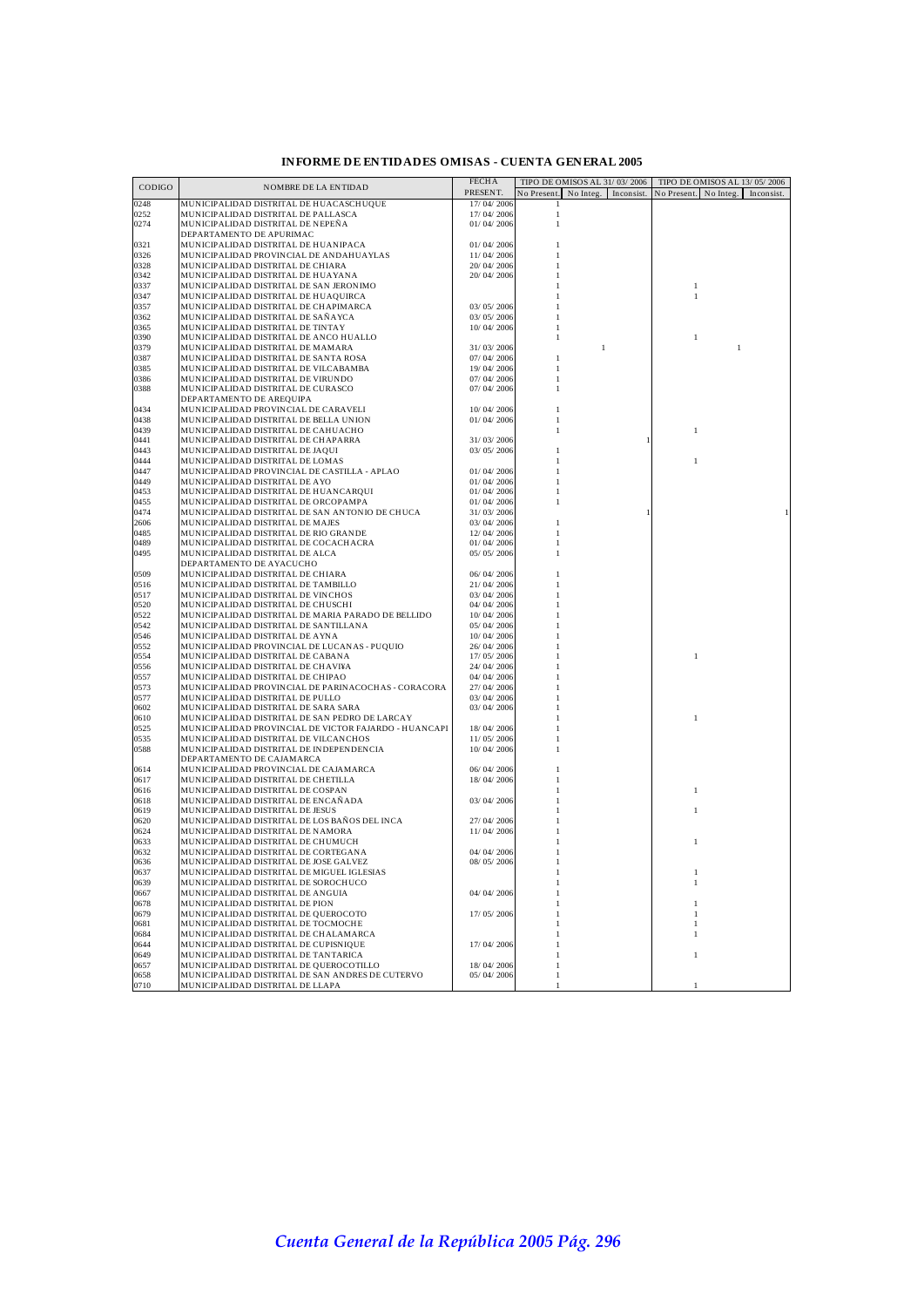| CODIGO       | NOMBRE DE LA ENTIDAD                                                                    | <b>FECHA</b>             | TIPO DE OMISOS AL 31/03/2006        | TIPO DE OMISOS AL 13/05/2006        |
|--------------|-----------------------------------------------------------------------------------------|--------------------------|-------------------------------------|-------------------------------------|
|              |                                                                                         | PRESENT.                 | No Integ. Inconsist.<br>No Present. | No Present. No Integ.<br>Inconsist. |
| 0248         | MUNICIPALIDAD DISTRITAL DE HUACASCHUQUE                                                 | 17/04/2006               | $\mathbf{1}$                        |                                     |
| 0252         | MUNICIPALIDAD DISTRITAL DE PALLASCA                                                     | 17/04/2006               | $\,1$                               |                                     |
| 0274         | MUNICIPALIDAD DISTRITAL DE NEPEÑA                                                       | 01/04/2006               | $\mathbf{1}$                        |                                     |
| 0321         | DEPARTAMENTO DE APURIMAC<br>MUNICIPALIDAD DISTRITAL DE HUANIPACA                        | 01/04/2006               |                                     |                                     |
| 0326         | MUNICIPALIDAD PROVINCIAL DE ANDAHUAYLAS                                                 | 11/04/2006               |                                     |                                     |
| 0328         | MUNICIPALIDAD DISTRITAL DE CHIARA                                                       | 20/ 04/ 2006             |                                     |                                     |
| 0342         | MUNICIPALIDAD DISTRITAL DE HUAYANA                                                      | 20/ 04/ 2006             |                                     |                                     |
| 0337         | MUNICIPALIDAD DISTRITAL DE SAN JERONIMO                                                 |                          |                                     | $\mathbf{1}$                        |
| 0347         | MUNICIPALIDAD DISTRITAL DE HUAQUIRCA                                                    |                          |                                     | $\mathbf{1}$                        |
| 0357         | MUNICIPALIDAD DISTRITAL DE CHAPIMARCA                                                   | 03/05/2006               |                                     |                                     |
| 0362         | MUNICIPALIDAD DISTRITAL DE SAÑAYCA                                                      | 03/05/2006               |                                     |                                     |
| 0365         | MUNICIPALIDAD DISTRITAL DE TINTAY                                                       | 10/04/2006               |                                     |                                     |
| 0390         | MUNICIPALIDAD DISTRITAL DE ANCO HUALLO                                                  |                          | 1                                   | $\mathbf{1}$                        |
| 0379         | MUNICIPALIDAD DISTRITAL DE MAMARA                                                       | 31/03/2006               | 1                                   | 1                                   |
| 0387<br>0385 | MUNICIPALIDAD DISTRITAL DE SANTA ROSA<br>MUNICIPALIDAD DISTRITAL DE VILCABAMBA          | 07/04/2006<br>19/04/2006 | 1                                   |                                     |
| 0386         | MUNICIPALIDAD DISTRITAL DE VIRUNDO                                                      | 07/04/2006               | 1                                   |                                     |
| 0388         | MUNICIPALIDAD DISTRITAL DE CURASCO                                                      | 07/04/2006               | 1                                   |                                     |
|              | DEPARTAMENTO DE AREQUIPA                                                                |                          |                                     |                                     |
| 0434         | MUNICIPALIDAD PROVINCIAL DE CARAVELI                                                    | 10/04/2006               | 1                                   |                                     |
| 0438         | MUNICIPALIDAD DISTRITAL DE BELLA UNION                                                  | 01/04/2006               | 1                                   |                                     |
| 0439         | MUNICIPALIDAD DISTRITAL DE CAHUACHO                                                     |                          | 1                                   | 1                                   |
| 0441         | MUNICIPALIDAD DISTRITAL DE CHAPARRA                                                     | 31/03/2006               |                                     |                                     |
| 0443         | MUNICIPALIDAD DISTRITAL DE JAQUI                                                        | 03/05/2006               |                                     |                                     |
| 0444         | MUNICIPALIDAD DISTRITAL DE LOMAS                                                        |                          |                                     | $\mathbf{1}$                        |
| 0447         | MUNICIPALIDAD PROVINCIAL DE CASTILLA - APLAO                                            | 01/04/2006               |                                     |                                     |
| 0449         | MUNICIPALIDAD DISTRITAL DE AYO                                                          | 01/04/2006               |                                     |                                     |
| 0453<br>0455 | MUNICIPALIDAD DISTRITAL DE HUANCARQUI                                                   | 01/04/2006               |                                     |                                     |
| 0474         | MUNICIPALIDAD DISTRITAL DE ORCOPAMPA<br>MUNICIPALIDAD DISTRITAL DE SAN ANTONIO DE CHUCA | 01/04/2006<br>31/03/2006 |                                     |                                     |
| 2606         | MUNICIPALIDAD DISTRITAL DE MAJES                                                        | 03/04/2006               | 1                                   |                                     |
| 0485         | MUNICIPALIDAD DISTRITAL DE RIO GRANDE                                                   | 12/04/2006               | 1                                   |                                     |
| 0489         | MUNICIPALIDAD DISTRITAL DE COCACHACRA                                                   | 01/04/2006               |                                     |                                     |
| 0495         | MUNICIPALIDAD DISTRITAL DE ALCA                                                         | 05/05/2006               |                                     |                                     |
|              | DEPARTAMENTO DE AYACUCHO                                                                |                          |                                     |                                     |
| 0509         | MUNICIPALIDAD DISTRITAL DE CHIARA                                                       | 06/04/2006               |                                     |                                     |
| 0516         | MUNICIPALIDAD DISTRITAL DE TAMBILLO                                                     | 21/04/2006               |                                     |                                     |
| 0517         | MUNICIPALIDAD DISTRITAL DE VINCHOS                                                      | 03/04/2006               |                                     |                                     |
| 0520         | MUNICIPALIDAD DISTRITAL DE CHUSCHI                                                      | 04/04/2006               |                                     |                                     |
| 0522         | MUNICIPALIDAD DISTRITAL DE MARIA PARADO DE BELLIDO                                      | 10/04/2006               |                                     |                                     |
| 0542         | MUNICIPALIDAD DISTRITAL DE SANTILLANA                                                   | 05/04/2006               |                                     |                                     |
| 0546         | MUNICIPALIDAD DISTRITAL DE AYNA                                                         | 10/04/2006               |                                     |                                     |
| 0552<br>0554 | MUNICIPALIDAD PROVINCIAL DE LUCANAS - PUQUIO<br>MUNICIPALIDAD DISTRITAL DE CABANA       | 26/04/2006<br>17/05/2006 |                                     | 1                                   |
| 0556         | MUNICIPALIDAD DISTRITAL DE CHAVI¥A                                                      | 24/04/2006               |                                     |                                     |
| 0557         | MUNICIPALIDAD DISTRITAL DE CHIPAO                                                       | 04/04/2006               |                                     |                                     |
| 0573         | MUNICIPALIDAD PROVINCIAL DE PARINACOCHAS - CORACORA                                     | 27/04/2006               |                                     |                                     |
| 0577         | MUNICIPALIDAD DISTRITAL DE PULLO                                                        | 03/04/2006               |                                     |                                     |
| 0602         | MUNICIPALIDAD DISTRITAL DE SARA SARA                                                    | 03/04/2006               |                                     |                                     |
| 0610         | MUNICIPALIDAD DISTRITAL DE SAN PEDRO DE LARCAY                                          |                          |                                     | 1                                   |
| 0525         | MUNICIPALIDAD PROVINCIAL DE VICTOR FAJARDO - HUANCAPI                                   | 18/04/2006               |                                     |                                     |
| 0535         | MUNICIPALIDAD DISTRITAL DE VILCANCHOS                                                   | 11/05/2006               |                                     |                                     |
| 0588         | MUNICIPALIDAD DISTRITAL DE INDEPENDENCIA                                                | 10/04/2006               |                                     |                                     |
|              | DEPARTAMENTO DE CAJAMARCA                                                               |                          |                                     |                                     |
| 0614<br>0617 | MUNICIPALIDAD PROVINCIAL DE CAJAMARCA                                                   | 06/04/2006               |                                     |                                     |
| 0616         | MUNICIPALIDAD DISTRITAL DE CHETILLA<br>MUNICIPALIDAD DISTRITAL DE COSPAN                | 18/04/2006               |                                     | 1                                   |
| 0618         | MUNICIPALIDAD DISTRITAL DE ENCAÑADA                                                     | 03/04/2006               |                                     |                                     |
| 0619         | MUNICIPALIDAD DISTRITAL DE JESUS                                                        |                          |                                     |                                     |
| 0620         | MUNICIPALIDAD DISTRITAL DE LOS BAÑOS DEL INCA                                           | 27/04/2006               |                                     |                                     |
| 0624         | MUNICIPALIDAD DISTRITAL DE NAMORA                                                       | 11/04/2006               |                                     |                                     |
| 0633         | MUNICIPALIDAD DISTRITAL DE CHUMUCH                                                      |                          |                                     | 1                                   |
| 0632         | MUNICIPALIDAD DISTRITAL DE CORTEGANA                                                    | 04/04/2006               |                                     |                                     |
| 0636         | MUNICIPALIDAD DISTRITAL DE JOSE GALVEZ                                                  | 08/05/2006               | 1                                   |                                     |
| J637         | MUNICIPALIDAD DISTRITAL DE MIGUEL IGLESIAS                                              |                          |                                     |                                     |
| 0639         | MUNICIPALIDAD DISTRITAL DE SOROCHUCO                                                    |                          | 1                                   |                                     |
| 0667         | MUNICIPALIDAD DISTRITAL DE ANGUIA                                                       | 04/04/2006               | 1                                   |                                     |
| 0678<br>0679 | MUNICIPALIDAD DISTRITAL DE PION                                                         |                          |                                     |                                     |
| 0681         | MUNICIPALIDAD DISTRITAL DE QUEROCOTO<br>MUNICIPALIDAD DISTRITAL DE TOCMOCHE             | 17/05/2006               | 1                                   |                                     |
| 0684         | MUNICIPALIDAD DISTRITAL DE CHALAMARCA                                                   |                          |                                     |                                     |
| 0644         | MUNICIPALIDAD DISTRITAL DE CUPISNIQUE                                                   | 17/04/2006               | 1                                   |                                     |
| 0649         | MUNICIPALIDAD DISTRITAL DE TANTARICA                                                    |                          | 1                                   | $\mathbf{1}$                        |
| 0657         | MUNICIPALIDAD DISTRITAL DE QUEROCOTILLO                                                 | 18/04/2006               | $\mathbf{1}$                        |                                     |
| 0658         | MUNICIPALIDAD DISTRITAL DE SAN ANDRES DE CUTERVO                                        | 05/04/2006               | $\mathbf{1}$                        |                                     |
| 0710         | MUNICIPALIDAD DISTRITAL DE LLAPA                                                        |                          | $\mathbf{1}$                        | $\mathbf{1}$                        |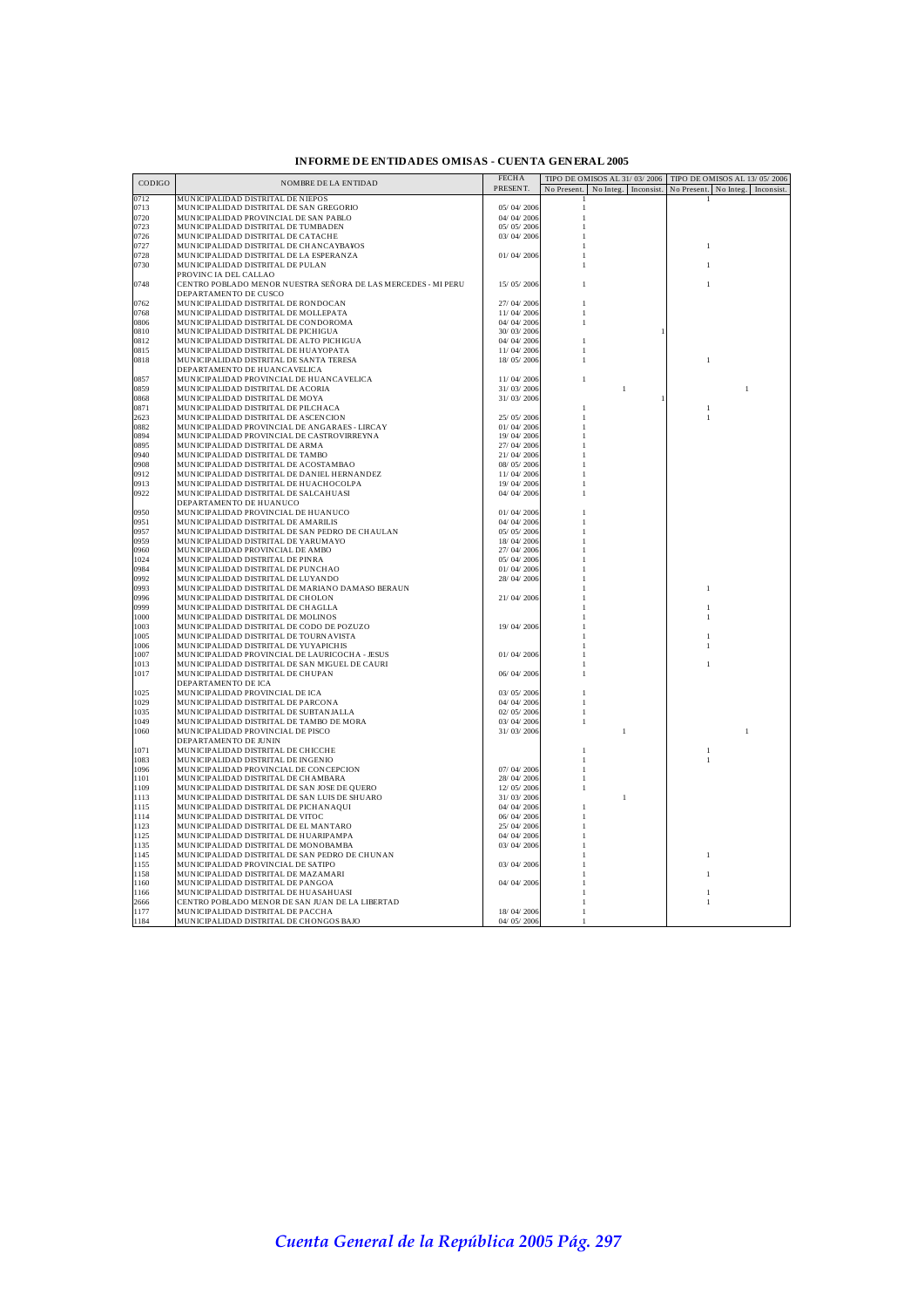| <b>INFORME DE ENTIDADES OMISAS - CUENTA GENERAL 2005</b> |  |  |  |
|----------------------------------------------------------|--|--|--|
|----------------------------------------------------------|--|--|--|

|              |                                                                        | <b>FECHA</b>             | TIPO DE OMISOS AL 31/03/2006<br>TIPO DE OMISOS AL 13/05/2006         |  |
|--------------|------------------------------------------------------------------------|--------------------------|----------------------------------------------------------------------|--|
| CODIGO       | <b>NOMBRE DE LA ENTIDAD</b>                                            | PRESENT.                 | No Present. No Integ. Inconsist.<br>No Present. No Integ. Inconsist. |  |
| 0712         | MUNICIPALIDAD DISTRITAL DE NIEPOS                                      |                          |                                                                      |  |
| 0713         | MUNICIPALIDAD DISTRITAL DE SAN GREGORIO                                | 05/04/2006               | 1                                                                    |  |
| 0720         | MUNICIPALIDAD PROVINCIAL DE SAN PABLO                                  | 04/04/2006               | 1                                                                    |  |
| 0723         | MUNICIPALIDAD DISTRITAL DE TUMBADEN                                    | 05/05/2006               |                                                                      |  |
| 0726         | MUNICIPALIDAD DISTRITAL DE CATACHE                                     | 03/04/2006               |                                                                      |  |
| 0727         | MUNICIPALIDAD DISTRITAL DE CHANCAYBA¥OS                                |                          | 1                                                                    |  |
| 0728         | MUNICIPALIDAD DISTRITAL DE LA ESPERANZA                                | 01/04/2006               |                                                                      |  |
| 0730         | MUNICIPALIDAD DISTRITAL DE PULAN                                       |                          | $\mathbf{1}$                                                         |  |
|              | PROVINC IA DEL CALLAO                                                  |                          |                                                                      |  |
| 0748         | CENTRO POBLADO MENOR NUESTRA SEÑORA DE LAS MERCEDES - MI PERU          | 15/05/2006               | 1<br>1                                                               |  |
|              | DEPARTAMENTO DE CUSCO                                                  |                          |                                                                      |  |
| 0762         | MUNICIPALIDAD DISTRITAL DE RONDOCAN                                    | 27/04/2006               | 1                                                                    |  |
| 0768         | MUNICIPALIDAD DISTRITAL DE MOLLEPATA                                   | 11/04/2006               |                                                                      |  |
| 0806         | MUNICIPALIDAD DISTRITAL DE CONDOROMA                                   | 04/04/2006               |                                                                      |  |
| 0810         | MUNICIPALIDAD DISTRITAL DE PICHIGUA                                    | 30/03/2006               |                                                                      |  |
| 0812         | MUNICIPALIDAD DISTRITAL DE ALTO PICHIGUA                               | 04/04/2006               | 1                                                                    |  |
| 0815         | MUNICIPALIDAD DISTRITAL DE HUAYOPATA                                   | 11/04/2006               | 1                                                                    |  |
| 0818         | MUNICIPALIDAD DISTRITAL DE SANTA TERESA                                | 18/05/2006               | 1                                                                    |  |
|              | DEPARTAMENTO DE HUANCAVELICA                                           |                          |                                                                      |  |
| 0857         | MUNICIPALIDAD PROVINCIAL DE HUANCAVELICA                               | 11/04/2006               | $\mathbf{1}$                                                         |  |
| 0859         | MUNICIPALIDAD DISTRITAL DE ACORIA                                      | 31/03/2006               | $\overline{1}$<br>$\mathbf{1}$                                       |  |
| 0868         | MUNICIPALIDAD DISTRITAL DE MOYA                                        | 31/03/2006               |                                                                      |  |
| 0871         | MUNICIPALIDAD DISTRITAL DE PILCHACA                                    |                          | $\mathbf{1}$<br>1                                                    |  |
| 2623         | MUNICIPALIDAD DISTRITAL DE ASCENCION                                   | 25/05/2006               | $\mathbf{1}$<br>-1                                                   |  |
| 0882         | MUNICIPALIDAD PROVINCIAL DE ANGARAES - LIRCAY                          | 01/04/2006               |                                                                      |  |
| 0894         | MUNICIPALIDAD PROVINCIAL DE CASTROVIRREYNA                             | 19/04/2006               |                                                                      |  |
| 0895         | MUNICIPALIDAD DISTRITAL DE ARMA                                        | 27/04/2006               |                                                                      |  |
| 0940         | MUNICIPALIDAD DISTRITAL DE TAMBO                                       | 21/04/2006               |                                                                      |  |
| 0908         | MUNICIPALIDAD DISTRITAL DE ACOSTAMBAO                                  | 08/05/2006               |                                                                      |  |
| 0912         | MUNICIPALIDAD DISTRITAL DE DANIEL HERNANDEZ                            | 11/04/2006               |                                                                      |  |
| 0913         | MUNICIPALIDAD DISTRITAL DE HUACHOCOLPA                                 | 19/04/2006               |                                                                      |  |
| 0922         | MUNICIPALIDAD DISTRITAL DE SALCAHUASI                                  | 04/04/2006               |                                                                      |  |
|              | DEPARTAMENTO DE HUANUCO                                                |                          |                                                                      |  |
| 0950         | MUNICIPALIDAD PROVINCIAL DE HUANUCO                                    | 01/04/2006               |                                                                      |  |
| 0951         | MUNICIPALIDAD DISTRITAL DE AMARILIS                                    | 04/04/2006               |                                                                      |  |
| 0957         | MUNICIPALIDAD DISTRITAL DE SAN PEDRO DE CHAULAN                        | 05/05/2006               |                                                                      |  |
| 0959         | MUNICIPALIDAD DISTRITAL DE YARUMAYO                                    | 18/04/2006               |                                                                      |  |
|              |                                                                        |                          |                                                                      |  |
| 0960<br>1024 | MUNICIPALIDAD PROVINCIAL DE AMBO                                       | 27/04/2006               |                                                                      |  |
| 0984         | MUNICIPALIDAD DISTRITAL DE PINRA<br>MUNICIPALIDAD DISTRITAL DE PUNCHAO | 05/04/2006<br>01/04/2006 |                                                                      |  |
|              |                                                                        |                          |                                                                      |  |
| 0992         | MUNICIPALIDAD DISTRITAL DE LUYANDO                                     | 28/04/2006               |                                                                      |  |
| 0993<br>0996 | MUNICIPALIDAD DISTRITAL DE MARIANO DAMASO BERAUN                       |                          | $\mathbf{1}$                                                         |  |
| 0999         | MUNICIPALIDAD DISTRITAL DE CHOLON                                      | 21/04/2006               |                                                                      |  |
|              | MUNICIPALIDAD DISTRITAL DE CHAGLLA                                     |                          | $\mathbf{1}$                                                         |  |
| 1000         | MUNICIPALIDAD DISTRITAL DE MOLINOS                                     |                          | 1                                                                    |  |
| 1003         | MUNICIPALIDAD DISTRITAL DE CODO DE POZUZO                              | 19/04/2006               |                                                                      |  |
| 1005         | MUNICIPALIDAD DISTRITAL DE TOURNAVISTA                                 |                          | 1                                                                    |  |
| 1006         | MUNICIPALIDAD DISTRITAL DE YUYAPICHIS                                  |                          | 1                                                                    |  |
| 1007         | MUNICIPALIDAD PROVINCIAL DE LAURICOCHA - JESUS                         | 01/04/2006               |                                                                      |  |
| 1013         | MUNICIPALIDAD DISTRITAL DE SAN MIGUEL DE CAURI                         |                          |                                                                      |  |
| 1017         | MUNICIPALIDAD DISTRITAL DE CHUPAN                                      | 06/04/2006               |                                                                      |  |
|              | DEPARTAMENTO DE ICA                                                    |                          |                                                                      |  |
| 1025         | MUNICIPALIDAD PROVINCIAL DE ICA                                        | 03/05/2006               | $\mathbf{1}$                                                         |  |
| 1029         | MUNICIPALIDAD DISTRITAL DE PARCONA                                     | 04/04/2006               | 1                                                                    |  |
| 1035         | MUNICIPALIDAD DISTRITAL DE SUBTANJALLA                                 | 02/05/2006               | $\mathbf{1}$                                                         |  |
| 1049         | MUNICIPALIDAD DISTRITAL DE TAMBO DE MORA                               | 03/04/2006               | $\mathbf{1}$                                                         |  |
| 1060         | MUNICIPALIDAD PROVINCIAL DE PISCO                                      | 31/03/2006               | $\mathbf{1}$<br>$\mathbf{1}$                                         |  |
|              | DEPARTAMENTO DE JUNIN                                                  |                          |                                                                      |  |
| 1071         | MUNICIPALIDAD DISTRITAL DE CHICCHE                                     |                          | 1                                                                    |  |
| 1083         | MUNICIPALIDAD DISTRITAL DE INGENIO                                     |                          | $\mathbf{1}$                                                         |  |
| 1096         | MUNICIPALIDAD PROVINCIAL DE CONCEPCION                                 | 07/04/2006               |                                                                      |  |
| 1101         | MUNICIPALIDAD DISTRITAL DE CHAMBARA                                    | 28/04/2006               |                                                                      |  |
| 1109         | MUNICIPALIDAD DISTRITAL DE SAN JOSE DE QUERO                           | 12/05/2006               |                                                                      |  |
| 1113         | MUNICIPALIDAD DISTRITAL DE SAN LUIS DE SHUARO                          | 31/03/2006               | $\overline{1}$                                                       |  |
| 1115         | MUNICIPALIDAD DISTRITAL DE PICHANAQUI                                  | 04/04/2006               |                                                                      |  |
| 1114         | MUNICIPALIDAD DISTRITAL DE VITOC                                       | 06/04/2006               |                                                                      |  |
| 1123         | MUNICIPALIDAD DISTRITAL DE EL MANTARO                                  | 25/04/2006               |                                                                      |  |
| 1125         | MUNICIPALIDAD DISTRITAL DE HUARIPAMPA                                  | 04/04/2006               |                                                                      |  |
| 1135         | MUNICIPALIDAD DISTRITAL DE MONOBAMBA                                   | 03/04/2006               |                                                                      |  |
| 1145         | MUNICIPALIDAD DISTRITAL DE SAN PEDRO DE CHUNAN                         |                          | 1                                                                    |  |
| 1155         | MUNICIPALIDAD PROVINCIAL DE SATIPO                                     | 03/04/2006               |                                                                      |  |
| 1158         | MUNICIPALIDAD DISTRITAL DE MAZAMARI                                    |                          | $\mathbf{1}$                                                         |  |
| 1160         | MUNICIPALIDAD DISTRITAL DE PANGOA                                      | 04/04/2006               |                                                                      |  |
| 1166         | MUNICIPALIDAD DISTRITAL DE HUASAHUASI                                  |                          | 1                                                                    |  |
| 2666         | CENTRO POBLADO MENOR DE SAN JUAN DE LA LIBERTAD                        |                          |                                                                      |  |
| 1177         | MUNICIPALIDAD DISTRITAL DE PACCHA                                      | 18/04/2006               |                                                                      |  |
| 1184         | MUNICIPALIDAD DISTRITAL DE CHONGOS BAJO                                | 04/05/2006               |                                                                      |  |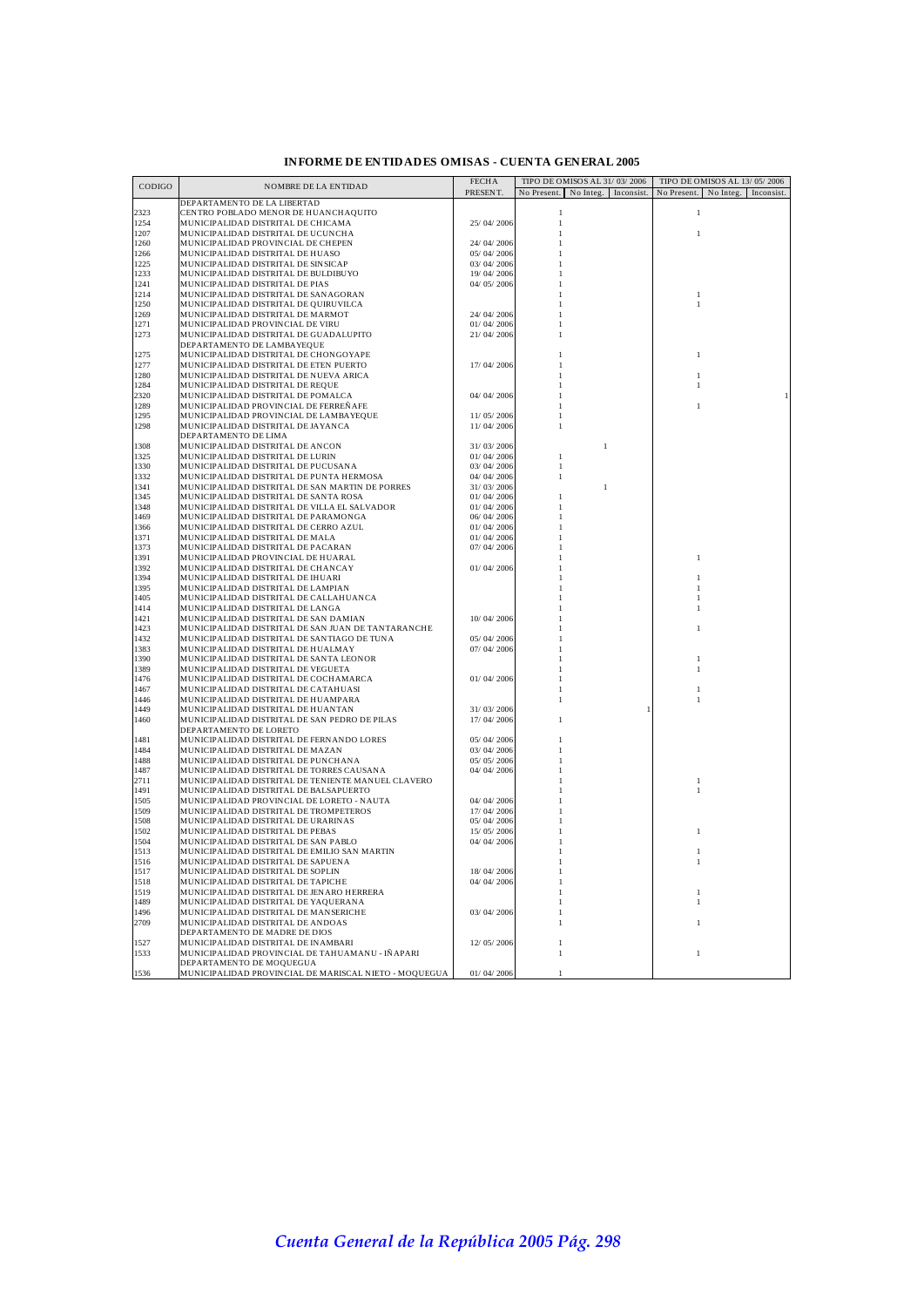| CODIGO       | NOMBRE DE LA ENTIDAD                                                                              | <b>FECHA</b>             | TIPO DE OMISOS AL 31/03/2006           | TIPO DE OMISOS AL 13/05/2006          |
|--------------|---------------------------------------------------------------------------------------------------|--------------------------|----------------------------------------|---------------------------------------|
|              |                                                                                                   | PRESENT.                 | No Present.<br>No Integ.<br>Inconsist. | No Present.<br>No Integ.<br>Inconsist |
|              | DEPARTAMENTO DE LA LIBERTAD                                                                       |                          |                                        |                                       |
| 2323         | CENTRO POBLADO MENOR DE HUANCHAQUITO                                                              |                          | $\mathbf{1}$                           | $\mathbf{1}$                          |
| 1254         | MUNICIPALIDAD DISTRITAL DE CHICAMA                                                                | 25/04/2006               | $\mathbf{1}$                           |                                       |
| 1207<br>1260 | MUNICIPALIDAD DISTRITAL DE UCUNCHA<br>MUNICIPALIDAD PROVINCIAL DE CHEPEN                          | 24/04/2006               | 1                                      | $\mathbf{1}$                          |
| 1266         | MUNICIPALIDAD DISTRITAL DE HUASO                                                                  | 05/04/2006               |                                        |                                       |
| 1225         | MUNICIPALIDAD DISTRITAL DE SINSICAP                                                               | 03/04/2006               |                                        |                                       |
| 1233         | MUNICIPALIDAD DISTRITAL DE BULDIBUYO                                                              | 19/04/2006               |                                        |                                       |
| 1241         | MUNICIPALIDAD DISTRITAL DE PIAS                                                                   | 04/05/2006               |                                        |                                       |
| 1214         | MUNICIPALIDAD DISTRITAL DE SANAGORAN                                                              |                          |                                        | 1                                     |
| 1250         | MUNICIPALIDAD DISTRITAL DE QUIRUVILCA                                                             |                          |                                        | $\mathbf{1}$                          |
| 1269         | MUNICIPALIDAD DISTRITAL DE MARMOT                                                                 | 24/04/2006               |                                        |                                       |
| 1271         | MUNICIPALIDAD PROVINCIAL DE VIRU                                                                  | 01/04/2006               |                                        |                                       |
| 1273         | MUNICIPALIDAD DISTRITAL DE GUADALUPITO                                                            | 21/04/2006               |                                        |                                       |
| 1275         | DEPARTAMENTO DE LAMBAYEQUE                                                                        |                          |                                        |                                       |
| 1277         | MUNICIPALIDAD DISTRITAL DE CHONGOYAPE<br>MUNICIPALIDAD DISTRITAL DE ETEN PUERTO                   | 17/04/2006               |                                        | $\mathbf{1}$                          |
| 1280         | MUNICIPALIDAD DISTRITAL DE NUEVA ARICA                                                            |                          |                                        |                                       |
| 1284         | MUNICIPALIDAD DISTRITAL DE REQUE                                                                  |                          |                                        |                                       |
| 2320         | MUNICIPALIDAD DISTRITAL DE POMALCA                                                                | 04/04/2006               |                                        |                                       |
| 1289         | MUNICIPALIDAD PROVINCIAL DE FERREÑAFE                                                             |                          |                                        |                                       |
| 1295         | MUNICIPALIDAD PROVINCIAL DE LAMBAYEQUE                                                            | 11/05/2006               |                                        |                                       |
| 1298         | MUNICIPALIDAD DISTRITAL DE JAYANCA                                                                | 11/04/2006               |                                        |                                       |
|              | DEPARTAMENTO DE LIMA                                                                              |                          |                                        |                                       |
| 1308         | MUNICIPALIDAD DISTRITAL DE ANCON                                                                  | 31/03/2006               | $\mathbf{1}$                           |                                       |
| 1325         | MUNICIPALIDAD DISTRITAL DE LURIN                                                                  | 01/04/2006               | 1                                      |                                       |
| 1330         | MUNICIPALIDAD DISTRITAL DE PUCUSANA                                                               | 03/04/2006               | $\mathbf{1}$                           |                                       |
| 1332         | MUNICIPALIDAD DISTRITAL DE PUNTA HERMOSA                                                          | 04/04/2006               | 1                                      |                                       |
| 1341         | MUNICIPALIDAD DISTRITAL DE SAN MARTIN DE PORRES                                                   | 31/03/2006               | $\mathbf{1}$                           |                                       |
| 1345<br>1348 | MUNICIPALIDAD DISTRITAL DE SANTA ROSA<br>MUNICIPALIDAD DISTRITAL DE VILLA EL SALVADOR             | 01/04/2006<br>01/04/2006 |                                        |                                       |
| 1469         | MUNICIPALIDAD DISTRITAL DE PARAMONGA                                                              | 06/04/2006               |                                        |                                       |
| 1366         | MUNICIPALIDAD DISTRITAL DE CERRO AZUL                                                             | 01/04/2006               |                                        |                                       |
| 1371         | MUNICIPALIDAD DISTRITAL DE MALA                                                                   | 01/04/2006               |                                        |                                       |
| 1373         | MUNICIPALIDAD DISTRITAL DE PACARAN                                                                | 07/04/2006               |                                        |                                       |
| 1391         | MUNICIPALIDAD PROVINCIAL DE HUARAL                                                                |                          |                                        | 1                                     |
| 1392         | MUNICIPALIDAD DISTRITAL DE CHANCAY                                                                | 01/04/2006               |                                        |                                       |
| 1394         | MUNICIPALIDAD DISTRITAL DE IHUARI                                                                 |                          |                                        |                                       |
| 1395         | MUNICIPALIDAD DISTRITAL DE LAMPIAN                                                                |                          |                                        |                                       |
| 1405         | MUNICIPALIDAD DISTRITAL DE CALLAHUANCA                                                            |                          |                                        |                                       |
| 1414         | MUNICIPALIDAD DISTRITAL DE LANGA                                                                  |                          |                                        |                                       |
| 1421         | MUNICIPALIDAD DISTRITAL DE SAN DAMIAN                                                             | 10/04/2006               |                                        |                                       |
| 1423<br>1432 | MUNICIPALIDAD DISTRITAL DE SAN JUAN DE TANTARANCHE<br>MUNICIPALIDAD DISTRITAL DE SANTIAGO DE TUNA | 05/04/2006               |                                        |                                       |
| 1383         | MUNICIPALIDAD DISTRITAL DE HUALMAY                                                                | 07/04/2006               |                                        |                                       |
| 1390         | MUNICIPALIDAD DISTRITAL DE SANTA LEONOR                                                           |                          |                                        |                                       |
| 1389         | MUNICIPALIDAD DISTRITAL DE VEGUETA                                                                |                          |                                        |                                       |
| 1476         | MUNICIPALIDAD DISTRITAL DE COCHAMARCA                                                             | 01/04/2006               |                                        |                                       |
| 1467         | MUNICIPALIDAD DISTRITAL DE CATAHUASI                                                              |                          |                                        | 1                                     |
| 1446         | MUNICIPALIDAD DISTRITAL DE HUAMPARA                                                               |                          |                                        |                                       |
| 1449         | MUNICIPALIDAD DISTRITAL DE HUANTAN                                                                | 31/03/2006               |                                        |                                       |
| 1460         | MUNICIPALIDAD DISTRITAL DE SAN PEDRO DE PILAS                                                     | 17/04/2006               |                                        |                                       |
|              | DEPARTAMENTO DE LORETO                                                                            |                          |                                        |                                       |
| 1481<br>1484 | MUNICIPALIDAD DISTRITAL DE FERNANDO LORES                                                         | 05/04/2006               |                                        |                                       |
| 1488         | MUNICIPALIDAD DISTRITAL DE MAZAN<br>MUNICIPALIDAD DISTRITAL DE PUNCHANA                           | 03/04/2006<br>05/05/2006 |                                        |                                       |
| 1487         | MUNICIPALIDAD DISTRITAL DE TORRES CAUSANA                                                         | 04/04/2006               |                                        |                                       |
| 2711         | MUNICIPALIDAD DISTRITAL DE TENIENTE MANUEL CLAVERO                                                |                          |                                        | 1                                     |
| 1491         | MUNICIPALIDAD DISTRITAL DE BALSAPUERTO                                                            |                          |                                        | 1                                     |
| 1505         | MUNICIPALIDAD PROVINCIAL DE LORETO - NAUTA                                                        | 04/04/2006               |                                        |                                       |
| 1509         | MUNICIPALIDAD DISTRITAL DE TROMPETEROS                                                            | 17/04/2006               |                                        |                                       |
| 1508         | MUNICIPALIDAD DISTRITAL DE URARINAS                                                               | 05/04/2006               |                                        |                                       |
| 1502         | MUNICIPALIDAD DISTRITAL DE PEBAS                                                                  | 15/05/2006               |                                        |                                       |
| 1504         | MUNICIPALIDAD DISTRITAL DE SAN PABLO                                                              | 04/04/2006               |                                        |                                       |
| 1513         | MUNICIPALIDAD DISTRITAL DE EMILIO SAN MARTIN                                                      |                          |                                        |                                       |
| 1516         | MUNICIPALIDAD DISTRITAL DE SAPUENA                                                                |                          |                                        |                                       |
| 1517         | MUNICIPALIDAD DISTRITAL DE SOPLIN                                                                 | 18/04/2006               |                                        |                                       |
| 1518<br>1519 | MUNICIPALIDAD DISTRITAL DE TAPICHE<br>MUNICIPALIDAD DISTRITAL DE JENARO HERRERA                   | 04/04/2006               |                                        |                                       |
| 1489         | MUNICIPALIDAD DISTRITAL DE YAQUERANA                                                              |                          |                                        |                                       |
| 1496         | MUNICIPALIDAD DISTRITAL DE MANSERICHE                                                             | 03/04/2006               |                                        |                                       |
| 2709         | MUNICIPALIDAD DISTRITAL DE ANDOAS                                                                 |                          |                                        |                                       |
|              | DEPARTAMENTO DE MADRE DE DIOS                                                                     |                          |                                        |                                       |
| 1527         | MUNICIPALIDAD DISTRITAL DE INAMBARI                                                               | 12/05/2006               |                                        |                                       |
| 1533         | MUNICIPALIDAD PROVINCIAL DE TAHUAMANU - IÑAPARI                                                   |                          | 1                                      |                                       |
|              | DEPARTAMENTO DE MOQUEGUA                                                                          |                          |                                        |                                       |
| 1536         | MUNICIPALIDAD PROVINCIAL DE MARISCAL NIETO - MOQUEGUA                                             | 01/04/2006               | $\mathbf{1}$                           |                                       |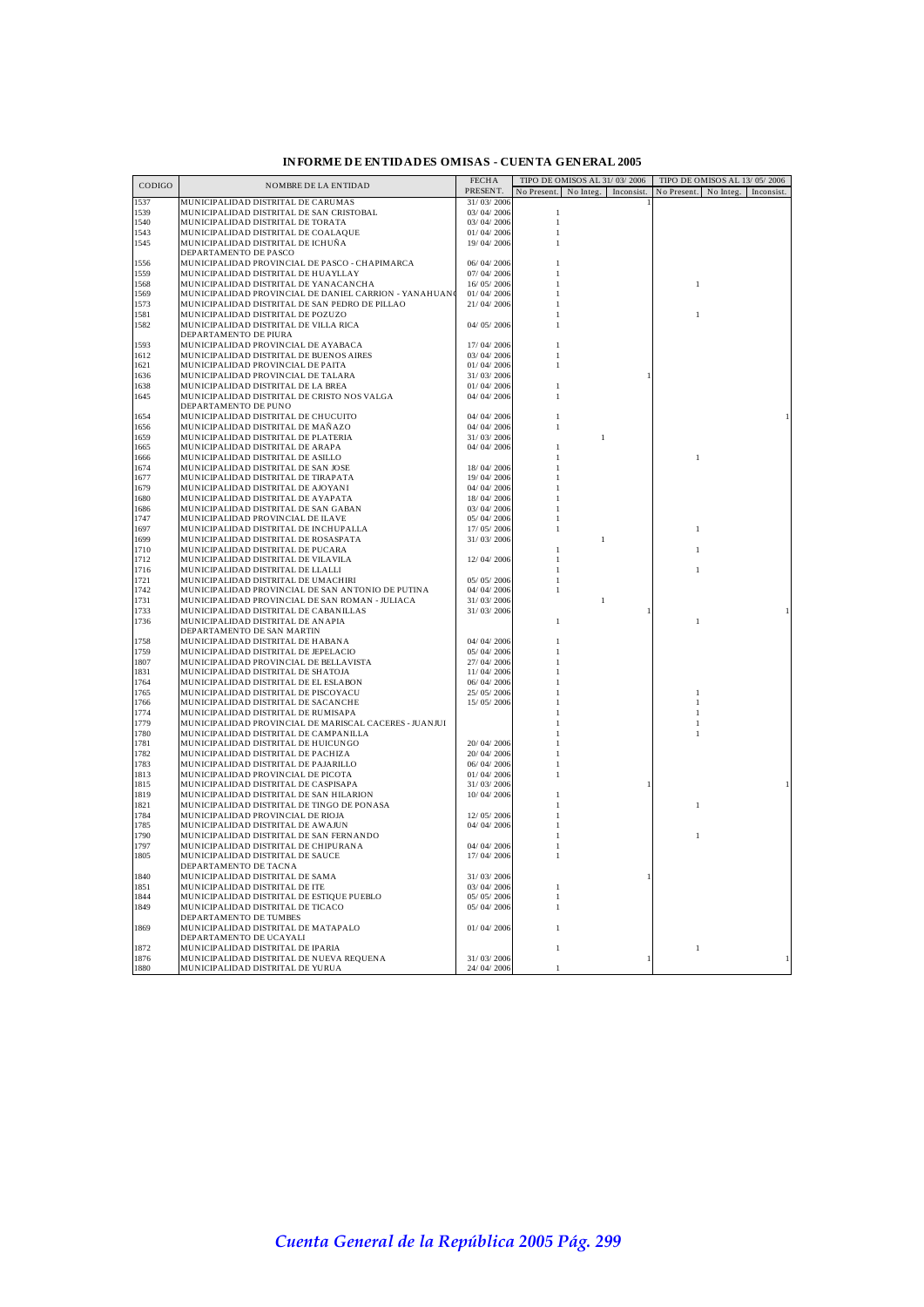| PRESENT.<br>No Present. No Integ. Inconsist.<br>No Present. No Integ. Inconsist.<br>MUNICIPALIDAD DISTRITAL DE CARUMAS<br>31/03/2006<br>1539<br>MUNICIPALIDAD DISTRITAL DE SAN CRISTOBAL<br>03/04/2006<br>1<br>1540<br>MUNICIPALIDAD DISTRITAL DE TORATA<br>03/04/2006<br>$\mathbf{1}$<br>1543<br>MUNICIPALIDAD DISTRITAL DE COALAQUE<br>01/04/2006<br>MUNICIPALIDAD DISTRITAL DE ICHUÑA<br>19/04/2006<br>1545<br>DEPARTAMENTO DE PASCO<br>1556<br>MUNICIPALIDAD PROVINCIAL DE PASCO - CHAPIMARCA<br>06/04/2006<br>1559<br>MUNICIPALIDAD DISTRITAL DE HUAYLLAY<br>07/04/2006<br>16/05/2006<br>1568<br>MUNICIPALIDAD DISTRITAL DE YANACANCHA<br>1<br>MUNICIPALIDAD PROVINCIAL DE DANIEL CARRION - YANAHUAN<br>01/04/2006<br>MUNICIPALIDAD DISTRITAL DE SAN PEDRO DE PILLAO<br>21/04/2006<br>MUNICIPALIDAD DISTRITAL DE POZUZO<br>MUNICIPALIDAD DISTRITAL DE VILLA RICA<br>04/05/2006<br>DEPARTAMENTO DE PIURA<br>1593<br>MUNICIPALIDAD PROVINCIAL DE AYABACA<br>17/04/2006<br>1612<br>MUNICIPALIDAD DISTRITAL DE BUENOS AIRES<br>03/04/2006<br>01/04/2006<br>1621<br>MUNICIPALIDAD PROVINCIAL DE PAITA<br>1636<br>MUNICIPALIDAD PROVINCIAL DE TALARA<br>31/03/2006<br>1638<br>MUNICIPALIDAD DISTRITAL DE LA BREA<br>01/04/2006<br>MUNICIPALIDAD DISTRITAL DE CRISTO NOS VALGA<br>04/04/2006<br>1645<br>-1<br>DEPARTAMENTO DE PUNO<br>MUNICIPALIDAD DISTRITAL DE CHUCUITO<br>04/04/2006<br>MUNICIPALIDAD DISTRITAL DE MAÑAZO<br>04/04/2006<br>31/03/2006<br>MUNICIPALIDAD DISTRITAL DE PLATERIA<br>$\mathbf{1}$<br>MUNICIPALIDAD DISTRITAL DE ARAPA<br>04/04/2006<br>MUNICIPALIDAD DISTRITAL DE ASILLO<br>$\mathbf{1}$<br>MUNICIPALIDAD DISTRITAL DE SAN JOSE<br>18/04/2006<br>19/04/2006<br>MUNICIPALIDAD DISTRITAL DE TIRAPATA<br>04/04/2006<br>MUNICIPALIDAD DISTRITAL DE AJOYANI<br>MUNICIPALIDAD DISTRITAL DE AYAPATA<br>18/04/2006<br>1686<br>MUNICIPALIDAD DISTRITAL DE SAN GABAN<br>03/04/2006<br>1747<br>MUNICIPALIDAD PROVINCIAL DE ILAVE<br>05/04/2006<br>1697<br>17/05/2006<br>MUNICIPALIDAD DISTRITAL DE INCHUPALLA<br>$\mathbf{1}$<br>MUNICIPALIDAD DISTRITAL DE ROSASPATA<br>1699<br>31/03/2006<br>$\mathbf{1}$<br>1710<br>MUNICIPALIDAD DISTRITAL DE PUCARA<br>1712<br>MUNICIPALIDAD DISTRITAL DE VILAVILA<br>12/04/2006<br>1716<br>MUNICIPALIDAD DISTRITAL DE LLALLI<br>MUNICIPALIDAD DISTRITAL DE UMACHIRI<br>1721<br>05/05/2006<br>1742<br>MUNICIPALIDAD PROVINCIAL DE SAN ANTONIO DE PUTINA<br>04/04/2006<br>1731<br>MUNICIPALIDAD PROVINCIAL DE SAN ROMAN - JULIACA<br>31/03/2006<br>$\mathbf{1}$<br>MUNICIPALIDAD DISTRITAL DE CABANILLAS<br>31/03/2006<br>1733<br>MUNICIPALIDAD DISTRITAL DE ANAPIA<br>1<br>DEPARTAMENTO DE SAN MARTIN<br>MUNICIPALIDAD DISTRITAL DE HABANA<br>04/04/2006<br>MUNICIPALIDAD DISTRITAL DE JEPELACIO<br>05/04/2006<br>MUNICIPALIDAD PROVINCIAL DE BELLAVISTA<br>27/04/2006<br>MUNICIPALIDAD DISTRITAL DE SHATOJA<br>11/04/2006<br>MUNICIPALIDAD DISTRITAL DE EL ESLABON<br>06/04/2006<br>1765<br>MUNICIPALIDAD DISTRITAL DE PISCOYACU<br>25/05/2006<br>1<br>1766<br>MUNICIPALIDAD DISTRITAL DE SACANCHE<br>15/05/2006<br>1774<br>MUNICIPALIDAD DISTRITAL DE RUMISAPA<br>1779<br>MUNICIPALIDAD PROVINCIAL DE MARISCAL CACERES - JUANJUI<br>MUNICIPALIDAD DISTRITAL DE CAMPANILLA<br>1780<br>1781<br>MUNICIPALIDAD DISTRITAL DE HUICUNGO<br>20/04/2006<br>1782<br>MUNICIPALIDAD DISTRITAL DE PACHIZA<br>20/ 04/ 2006<br>1783<br>MUNICIPALIDAD DISTRITAL DE PAJARILLO<br>06/04/2006<br>1813<br>MUNICIPALIDAD PROVINCIAL DE PICOTA<br>01/04/2006<br>MUNICIPALIDAD DISTRITAL DE CASPISAPA<br>31/03/2006<br>MUNICIPALIDAD DISTRITAL DE SAN HILARION<br>10/04/2006<br>MUNICIPALIDAD DISTRITAL DE TINGO DE PONASA<br>1<br>MUNICIPALIDAD PROVINCIAL DE RIOJA<br>12/05/2006<br>MUNICIPALIDAD DISTRITAL DE AWAJUN<br>04/04/2006<br>MUNICIPALIDAD DISTRITAL DE SAN FERNANDO<br>1<br>MUNICIPALIDAD DISTRITAL DE CHIPURANA<br>04/04/2006<br>1805<br>MUNICIPALIDAD DISTRITAL DE SAUCE<br>17/04/2006<br>DEPARTAMENTO DE TACNA<br>1840<br>MUNICIPALIDAD DISTRITAL DE SAMA<br>31/03/2006<br>1851<br>03/04/2006<br>MUNICIPALIDAD DISTRITAL DE ITE<br>1<br>1844<br>MUNICIPALIDAD DISTRITAL DE ESTIOUE PUEBLO<br>05/05/2006<br>1<br>1849<br>MUNICIPALIDAD DISTRITAL DE TICACO<br>05/04/2006<br>DEPARTAMENTO DE TUMBES<br>1869<br>MUNICIPALIDAD DISTRITAL DE MATAPALO<br>01/04/2006<br>DEPARTAMENTO DE UCAYALI<br>1872<br>MUNICIPALIDAD DISTRITAL DE IPARIA<br>$\mathbf{1}$<br>MUNICIPALIDAD DISTRITAL DE NUEVA REQUENA<br>31/03/2006<br>24/04/2006<br>MUNICIPALIDAD DISTRITAL DE YURUA<br>1 | CODIGO | NOMBRE DE LA ENTIDAD | <b>FECHA</b> | TIPO DE OMISOS AL 31/03/2006 | TIPO DE OMISOS AL 13/05/2006 |  |
|--------------------------------------------------------------------------------------------------------------------------------------------------------------------------------------------------------------------------------------------------------------------------------------------------------------------------------------------------------------------------------------------------------------------------------------------------------------------------------------------------------------------------------------------------------------------------------------------------------------------------------------------------------------------------------------------------------------------------------------------------------------------------------------------------------------------------------------------------------------------------------------------------------------------------------------------------------------------------------------------------------------------------------------------------------------------------------------------------------------------------------------------------------------------------------------------------------------------------------------------------------------------------------------------------------------------------------------------------------------------------------------------------------------------------------------------------------------------------------------------------------------------------------------------------------------------------------------------------------------------------------------------------------------------------------------------------------------------------------------------------------------------------------------------------------------------------------------------------------------------------------------------------------------------------------------------------------------------------------------------------------------------------------------------------------------------------------------------------------------------------------------------------------------------------------------------------------------------------------------------------------------------------------------------------------------------------------------------------------------------------------------------------------------------------------------------------------------------------------------------------------------------------------------------------------------------------------------------------------------------------------------------------------------------------------------------------------------------------------------------------------------------------------------------------------------------------------------------------------------------------------------------------------------------------------------------------------------------------------------------------------------------------------------------------------------------------------------------------------------------------------------------------------------------------------------------------------------------------------------------------------------------------------------------------------------------------------------------------------------------------------------------------------------------------------------------------------------------------------------------------------------------------------------------------------------------------------------------------------------------------------------------------------------------------------------------------------------------------------------------------------------------------------------------------------------------------------------------------------------------------------------------------------------------------------------------------------------------------------------------------------------------------------------------------------------------------------------------------------------------------------------------------------------------------------------------------------------------------------------------------------------------------------------------------------------------------------------------------------------------------------------------------------------------------------------------------------------------------------------------------------------------------|--------|----------------------|--------------|------------------------------|------------------------------|--|
|                                                                                                                                                                                                                                                                                                                                                                                                                                                                                                                                                                                                                                                                                                                                                                                                                                                                                                                                                                                                                                                                                                                                                                                                                                                                                                                                                                                                                                                                                                                                                                                                                                                                                                                                                                                                                                                                                                                                                                                                                                                                                                                                                                                                                                                                                                                                                                                                                                                                                                                                                                                                                                                                                                                                                                                                                                                                                                                                                                                                                                                                                                                                                                                                                                                                                                                                                                                                                                                                                                                                                                                                                                                                                                                                                                                                                                                                                                                                                                                                                                                                                                                                                                                                                                                                                                                                                                                                                                                                                                                          |        |                      |              |                              |                              |  |
|                                                                                                                                                                                                                                                                                                                                                                                                                                                                                                                                                                                                                                                                                                                                                                                                                                                                                                                                                                                                                                                                                                                                                                                                                                                                                                                                                                                                                                                                                                                                                                                                                                                                                                                                                                                                                                                                                                                                                                                                                                                                                                                                                                                                                                                                                                                                                                                                                                                                                                                                                                                                                                                                                                                                                                                                                                                                                                                                                                                                                                                                                                                                                                                                                                                                                                                                                                                                                                                                                                                                                                                                                                                                                                                                                                                                                                                                                                                                                                                                                                                                                                                                                                                                                                                                                                                                                                                                                                                                                                                          | 1537   |                      |              |                              |                              |  |
|                                                                                                                                                                                                                                                                                                                                                                                                                                                                                                                                                                                                                                                                                                                                                                                                                                                                                                                                                                                                                                                                                                                                                                                                                                                                                                                                                                                                                                                                                                                                                                                                                                                                                                                                                                                                                                                                                                                                                                                                                                                                                                                                                                                                                                                                                                                                                                                                                                                                                                                                                                                                                                                                                                                                                                                                                                                                                                                                                                                                                                                                                                                                                                                                                                                                                                                                                                                                                                                                                                                                                                                                                                                                                                                                                                                                                                                                                                                                                                                                                                                                                                                                                                                                                                                                                                                                                                                                                                                                                                                          |        |                      |              |                              |                              |  |
|                                                                                                                                                                                                                                                                                                                                                                                                                                                                                                                                                                                                                                                                                                                                                                                                                                                                                                                                                                                                                                                                                                                                                                                                                                                                                                                                                                                                                                                                                                                                                                                                                                                                                                                                                                                                                                                                                                                                                                                                                                                                                                                                                                                                                                                                                                                                                                                                                                                                                                                                                                                                                                                                                                                                                                                                                                                                                                                                                                                                                                                                                                                                                                                                                                                                                                                                                                                                                                                                                                                                                                                                                                                                                                                                                                                                                                                                                                                                                                                                                                                                                                                                                                                                                                                                                                                                                                                                                                                                                                                          |        |                      |              |                              |                              |  |
|                                                                                                                                                                                                                                                                                                                                                                                                                                                                                                                                                                                                                                                                                                                                                                                                                                                                                                                                                                                                                                                                                                                                                                                                                                                                                                                                                                                                                                                                                                                                                                                                                                                                                                                                                                                                                                                                                                                                                                                                                                                                                                                                                                                                                                                                                                                                                                                                                                                                                                                                                                                                                                                                                                                                                                                                                                                                                                                                                                                                                                                                                                                                                                                                                                                                                                                                                                                                                                                                                                                                                                                                                                                                                                                                                                                                                                                                                                                                                                                                                                                                                                                                                                                                                                                                                                                                                                                                                                                                                                                          |        |                      |              |                              |                              |  |
|                                                                                                                                                                                                                                                                                                                                                                                                                                                                                                                                                                                                                                                                                                                                                                                                                                                                                                                                                                                                                                                                                                                                                                                                                                                                                                                                                                                                                                                                                                                                                                                                                                                                                                                                                                                                                                                                                                                                                                                                                                                                                                                                                                                                                                                                                                                                                                                                                                                                                                                                                                                                                                                                                                                                                                                                                                                                                                                                                                                                                                                                                                                                                                                                                                                                                                                                                                                                                                                                                                                                                                                                                                                                                                                                                                                                                                                                                                                                                                                                                                                                                                                                                                                                                                                                                                                                                                                                                                                                                                                          |        |                      |              |                              |                              |  |
|                                                                                                                                                                                                                                                                                                                                                                                                                                                                                                                                                                                                                                                                                                                                                                                                                                                                                                                                                                                                                                                                                                                                                                                                                                                                                                                                                                                                                                                                                                                                                                                                                                                                                                                                                                                                                                                                                                                                                                                                                                                                                                                                                                                                                                                                                                                                                                                                                                                                                                                                                                                                                                                                                                                                                                                                                                                                                                                                                                                                                                                                                                                                                                                                                                                                                                                                                                                                                                                                                                                                                                                                                                                                                                                                                                                                                                                                                                                                                                                                                                                                                                                                                                                                                                                                                                                                                                                                                                                                                                                          |        |                      |              |                              |                              |  |
|                                                                                                                                                                                                                                                                                                                                                                                                                                                                                                                                                                                                                                                                                                                                                                                                                                                                                                                                                                                                                                                                                                                                                                                                                                                                                                                                                                                                                                                                                                                                                                                                                                                                                                                                                                                                                                                                                                                                                                                                                                                                                                                                                                                                                                                                                                                                                                                                                                                                                                                                                                                                                                                                                                                                                                                                                                                                                                                                                                                                                                                                                                                                                                                                                                                                                                                                                                                                                                                                                                                                                                                                                                                                                                                                                                                                                                                                                                                                                                                                                                                                                                                                                                                                                                                                                                                                                                                                                                                                                                                          |        |                      |              |                              |                              |  |
|                                                                                                                                                                                                                                                                                                                                                                                                                                                                                                                                                                                                                                                                                                                                                                                                                                                                                                                                                                                                                                                                                                                                                                                                                                                                                                                                                                                                                                                                                                                                                                                                                                                                                                                                                                                                                                                                                                                                                                                                                                                                                                                                                                                                                                                                                                                                                                                                                                                                                                                                                                                                                                                                                                                                                                                                                                                                                                                                                                                                                                                                                                                                                                                                                                                                                                                                                                                                                                                                                                                                                                                                                                                                                                                                                                                                                                                                                                                                                                                                                                                                                                                                                                                                                                                                                                                                                                                                                                                                                                                          |        |                      |              |                              |                              |  |
|                                                                                                                                                                                                                                                                                                                                                                                                                                                                                                                                                                                                                                                                                                                                                                                                                                                                                                                                                                                                                                                                                                                                                                                                                                                                                                                                                                                                                                                                                                                                                                                                                                                                                                                                                                                                                                                                                                                                                                                                                                                                                                                                                                                                                                                                                                                                                                                                                                                                                                                                                                                                                                                                                                                                                                                                                                                                                                                                                                                                                                                                                                                                                                                                                                                                                                                                                                                                                                                                                                                                                                                                                                                                                                                                                                                                                                                                                                                                                                                                                                                                                                                                                                                                                                                                                                                                                                                                                                                                                                                          | 1569   |                      |              |                              |                              |  |
|                                                                                                                                                                                                                                                                                                                                                                                                                                                                                                                                                                                                                                                                                                                                                                                                                                                                                                                                                                                                                                                                                                                                                                                                                                                                                                                                                                                                                                                                                                                                                                                                                                                                                                                                                                                                                                                                                                                                                                                                                                                                                                                                                                                                                                                                                                                                                                                                                                                                                                                                                                                                                                                                                                                                                                                                                                                                                                                                                                                                                                                                                                                                                                                                                                                                                                                                                                                                                                                                                                                                                                                                                                                                                                                                                                                                                                                                                                                                                                                                                                                                                                                                                                                                                                                                                                                                                                                                                                                                                                                          | 1573   |                      |              |                              |                              |  |
|                                                                                                                                                                                                                                                                                                                                                                                                                                                                                                                                                                                                                                                                                                                                                                                                                                                                                                                                                                                                                                                                                                                                                                                                                                                                                                                                                                                                                                                                                                                                                                                                                                                                                                                                                                                                                                                                                                                                                                                                                                                                                                                                                                                                                                                                                                                                                                                                                                                                                                                                                                                                                                                                                                                                                                                                                                                                                                                                                                                                                                                                                                                                                                                                                                                                                                                                                                                                                                                                                                                                                                                                                                                                                                                                                                                                                                                                                                                                                                                                                                                                                                                                                                                                                                                                                                                                                                                                                                                                                                                          | 1581   |                      |              |                              |                              |  |
|                                                                                                                                                                                                                                                                                                                                                                                                                                                                                                                                                                                                                                                                                                                                                                                                                                                                                                                                                                                                                                                                                                                                                                                                                                                                                                                                                                                                                                                                                                                                                                                                                                                                                                                                                                                                                                                                                                                                                                                                                                                                                                                                                                                                                                                                                                                                                                                                                                                                                                                                                                                                                                                                                                                                                                                                                                                                                                                                                                                                                                                                                                                                                                                                                                                                                                                                                                                                                                                                                                                                                                                                                                                                                                                                                                                                                                                                                                                                                                                                                                                                                                                                                                                                                                                                                                                                                                                                                                                                                                                          | 1582   |                      |              |                              |                              |  |
|                                                                                                                                                                                                                                                                                                                                                                                                                                                                                                                                                                                                                                                                                                                                                                                                                                                                                                                                                                                                                                                                                                                                                                                                                                                                                                                                                                                                                                                                                                                                                                                                                                                                                                                                                                                                                                                                                                                                                                                                                                                                                                                                                                                                                                                                                                                                                                                                                                                                                                                                                                                                                                                                                                                                                                                                                                                                                                                                                                                                                                                                                                                                                                                                                                                                                                                                                                                                                                                                                                                                                                                                                                                                                                                                                                                                                                                                                                                                                                                                                                                                                                                                                                                                                                                                                                                                                                                                                                                                                                                          |        |                      |              |                              |                              |  |
|                                                                                                                                                                                                                                                                                                                                                                                                                                                                                                                                                                                                                                                                                                                                                                                                                                                                                                                                                                                                                                                                                                                                                                                                                                                                                                                                                                                                                                                                                                                                                                                                                                                                                                                                                                                                                                                                                                                                                                                                                                                                                                                                                                                                                                                                                                                                                                                                                                                                                                                                                                                                                                                                                                                                                                                                                                                                                                                                                                                                                                                                                                                                                                                                                                                                                                                                                                                                                                                                                                                                                                                                                                                                                                                                                                                                                                                                                                                                                                                                                                                                                                                                                                                                                                                                                                                                                                                                                                                                                                                          |        |                      |              |                              |                              |  |
|                                                                                                                                                                                                                                                                                                                                                                                                                                                                                                                                                                                                                                                                                                                                                                                                                                                                                                                                                                                                                                                                                                                                                                                                                                                                                                                                                                                                                                                                                                                                                                                                                                                                                                                                                                                                                                                                                                                                                                                                                                                                                                                                                                                                                                                                                                                                                                                                                                                                                                                                                                                                                                                                                                                                                                                                                                                                                                                                                                                                                                                                                                                                                                                                                                                                                                                                                                                                                                                                                                                                                                                                                                                                                                                                                                                                                                                                                                                                                                                                                                                                                                                                                                                                                                                                                                                                                                                                                                                                                                                          |        |                      |              |                              |                              |  |
|                                                                                                                                                                                                                                                                                                                                                                                                                                                                                                                                                                                                                                                                                                                                                                                                                                                                                                                                                                                                                                                                                                                                                                                                                                                                                                                                                                                                                                                                                                                                                                                                                                                                                                                                                                                                                                                                                                                                                                                                                                                                                                                                                                                                                                                                                                                                                                                                                                                                                                                                                                                                                                                                                                                                                                                                                                                                                                                                                                                                                                                                                                                                                                                                                                                                                                                                                                                                                                                                                                                                                                                                                                                                                                                                                                                                                                                                                                                                                                                                                                                                                                                                                                                                                                                                                                                                                                                                                                                                                                                          |        |                      |              |                              |                              |  |
|                                                                                                                                                                                                                                                                                                                                                                                                                                                                                                                                                                                                                                                                                                                                                                                                                                                                                                                                                                                                                                                                                                                                                                                                                                                                                                                                                                                                                                                                                                                                                                                                                                                                                                                                                                                                                                                                                                                                                                                                                                                                                                                                                                                                                                                                                                                                                                                                                                                                                                                                                                                                                                                                                                                                                                                                                                                                                                                                                                                                                                                                                                                                                                                                                                                                                                                                                                                                                                                                                                                                                                                                                                                                                                                                                                                                                                                                                                                                                                                                                                                                                                                                                                                                                                                                                                                                                                                                                                                                                                                          |        |                      |              |                              |                              |  |
|                                                                                                                                                                                                                                                                                                                                                                                                                                                                                                                                                                                                                                                                                                                                                                                                                                                                                                                                                                                                                                                                                                                                                                                                                                                                                                                                                                                                                                                                                                                                                                                                                                                                                                                                                                                                                                                                                                                                                                                                                                                                                                                                                                                                                                                                                                                                                                                                                                                                                                                                                                                                                                                                                                                                                                                                                                                                                                                                                                                                                                                                                                                                                                                                                                                                                                                                                                                                                                                                                                                                                                                                                                                                                                                                                                                                                                                                                                                                                                                                                                                                                                                                                                                                                                                                                                                                                                                                                                                                                                                          |        |                      |              |                              |                              |  |
|                                                                                                                                                                                                                                                                                                                                                                                                                                                                                                                                                                                                                                                                                                                                                                                                                                                                                                                                                                                                                                                                                                                                                                                                                                                                                                                                                                                                                                                                                                                                                                                                                                                                                                                                                                                                                                                                                                                                                                                                                                                                                                                                                                                                                                                                                                                                                                                                                                                                                                                                                                                                                                                                                                                                                                                                                                                                                                                                                                                                                                                                                                                                                                                                                                                                                                                                                                                                                                                                                                                                                                                                                                                                                                                                                                                                                                                                                                                                                                                                                                                                                                                                                                                                                                                                                                                                                                                                                                                                                                                          |        |                      |              |                              |                              |  |
|                                                                                                                                                                                                                                                                                                                                                                                                                                                                                                                                                                                                                                                                                                                                                                                                                                                                                                                                                                                                                                                                                                                                                                                                                                                                                                                                                                                                                                                                                                                                                                                                                                                                                                                                                                                                                                                                                                                                                                                                                                                                                                                                                                                                                                                                                                                                                                                                                                                                                                                                                                                                                                                                                                                                                                                                                                                                                                                                                                                                                                                                                                                                                                                                                                                                                                                                                                                                                                                                                                                                                                                                                                                                                                                                                                                                                                                                                                                                                                                                                                                                                                                                                                                                                                                                                                                                                                                                                                                                                                                          | 1654   |                      |              |                              |                              |  |
|                                                                                                                                                                                                                                                                                                                                                                                                                                                                                                                                                                                                                                                                                                                                                                                                                                                                                                                                                                                                                                                                                                                                                                                                                                                                                                                                                                                                                                                                                                                                                                                                                                                                                                                                                                                                                                                                                                                                                                                                                                                                                                                                                                                                                                                                                                                                                                                                                                                                                                                                                                                                                                                                                                                                                                                                                                                                                                                                                                                                                                                                                                                                                                                                                                                                                                                                                                                                                                                                                                                                                                                                                                                                                                                                                                                                                                                                                                                                                                                                                                                                                                                                                                                                                                                                                                                                                                                                                                                                                                                          | 1656   |                      |              |                              |                              |  |
|                                                                                                                                                                                                                                                                                                                                                                                                                                                                                                                                                                                                                                                                                                                                                                                                                                                                                                                                                                                                                                                                                                                                                                                                                                                                                                                                                                                                                                                                                                                                                                                                                                                                                                                                                                                                                                                                                                                                                                                                                                                                                                                                                                                                                                                                                                                                                                                                                                                                                                                                                                                                                                                                                                                                                                                                                                                                                                                                                                                                                                                                                                                                                                                                                                                                                                                                                                                                                                                                                                                                                                                                                                                                                                                                                                                                                                                                                                                                                                                                                                                                                                                                                                                                                                                                                                                                                                                                                                                                                                                          | 1659   |                      |              |                              |                              |  |
|                                                                                                                                                                                                                                                                                                                                                                                                                                                                                                                                                                                                                                                                                                                                                                                                                                                                                                                                                                                                                                                                                                                                                                                                                                                                                                                                                                                                                                                                                                                                                                                                                                                                                                                                                                                                                                                                                                                                                                                                                                                                                                                                                                                                                                                                                                                                                                                                                                                                                                                                                                                                                                                                                                                                                                                                                                                                                                                                                                                                                                                                                                                                                                                                                                                                                                                                                                                                                                                                                                                                                                                                                                                                                                                                                                                                                                                                                                                                                                                                                                                                                                                                                                                                                                                                                                                                                                                                                                                                                                                          | 1665   |                      |              |                              |                              |  |
|                                                                                                                                                                                                                                                                                                                                                                                                                                                                                                                                                                                                                                                                                                                                                                                                                                                                                                                                                                                                                                                                                                                                                                                                                                                                                                                                                                                                                                                                                                                                                                                                                                                                                                                                                                                                                                                                                                                                                                                                                                                                                                                                                                                                                                                                                                                                                                                                                                                                                                                                                                                                                                                                                                                                                                                                                                                                                                                                                                                                                                                                                                                                                                                                                                                                                                                                                                                                                                                                                                                                                                                                                                                                                                                                                                                                                                                                                                                                                                                                                                                                                                                                                                                                                                                                                                                                                                                                                                                                                                                          | 1666   |                      |              |                              |                              |  |
|                                                                                                                                                                                                                                                                                                                                                                                                                                                                                                                                                                                                                                                                                                                                                                                                                                                                                                                                                                                                                                                                                                                                                                                                                                                                                                                                                                                                                                                                                                                                                                                                                                                                                                                                                                                                                                                                                                                                                                                                                                                                                                                                                                                                                                                                                                                                                                                                                                                                                                                                                                                                                                                                                                                                                                                                                                                                                                                                                                                                                                                                                                                                                                                                                                                                                                                                                                                                                                                                                                                                                                                                                                                                                                                                                                                                                                                                                                                                                                                                                                                                                                                                                                                                                                                                                                                                                                                                                                                                                                                          | 1674   |                      |              |                              |                              |  |
|                                                                                                                                                                                                                                                                                                                                                                                                                                                                                                                                                                                                                                                                                                                                                                                                                                                                                                                                                                                                                                                                                                                                                                                                                                                                                                                                                                                                                                                                                                                                                                                                                                                                                                                                                                                                                                                                                                                                                                                                                                                                                                                                                                                                                                                                                                                                                                                                                                                                                                                                                                                                                                                                                                                                                                                                                                                                                                                                                                                                                                                                                                                                                                                                                                                                                                                                                                                                                                                                                                                                                                                                                                                                                                                                                                                                                                                                                                                                                                                                                                                                                                                                                                                                                                                                                                                                                                                                                                                                                                                          | 1677   |                      |              |                              |                              |  |
|                                                                                                                                                                                                                                                                                                                                                                                                                                                                                                                                                                                                                                                                                                                                                                                                                                                                                                                                                                                                                                                                                                                                                                                                                                                                                                                                                                                                                                                                                                                                                                                                                                                                                                                                                                                                                                                                                                                                                                                                                                                                                                                                                                                                                                                                                                                                                                                                                                                                                                                                                                                                                                                                                                                                                                                                                                                                                                                                                                                                                                                                                                                                                                                                                                                                                                                                                                                                                                                                                                                                                                                                                                                                                                                                                                                                                                                                                                                                                                                                                                                                                                                                                                                                                                                                                                                                                                                                                                                                                                                          | 1679   |                      |              |                              |                              |  |
|                                                                                                                                                                                                                                                                                                                                                                                                                                                                                                                                                                                                                                                                                                                                                                                                                                                                                                                                                                                                                                                                                                                                                                                                                                                                                                                                                                                                                                                                                                                                                                                                                                                                                                                                                                                                                                                                                                                                                                                                                                                                                                                                                                                                                                                                                                                                                                                                                                                                                                                                                                                                                                                                                                                                                                                                                                                                                                                                                                                                                                                                                                                                                                                                                                                                                                                                                                                                                                                                                                                                                                                                                                                                                                                                                                                                                                                                                                                                                                                                                                                                                                                                                                                                                                                                                                                                                                                                                                                                                                                          | 1680   |                      |              |                              |                              |  |
|                                                                                                                                                                                                                                                                                                                                                                                                                                                                                                                                                                                                                                                                                                                                                                                                                                                                                                                                                                                                                                                                                                                                                                                                                                                                                                                                                                                                                                                                                                                                                                                                                                                                                                                                                                                                                                                                                                                                                                                                                                                                                                                                                                                                                                                                                                                                                                                                                                                                                                                                                                                                                                                                                                                                                                                                                                                                                                                                                                                                                                                                                                                                                                                                                                                                                                                                                                                                                                                                                                                                                                                                                                                                                                                                                                                                                                                                                                                                                                                                                                                                                                                                                                                                                                                                                                                                                                                                                                                                                                                          |        |                      |              |                              |                              |  |
|                                                                                                                                                                                                                                                                                                                                                                                                                                                                                                                                                                                                                                                                                                                                                                                                                                                                                                                                                                                                                                                                                                                                                                                                                                                                                                                                                                                                                                                                                                                                                                                                                                                                                                                                                                                                                                                                                                                                                                                                                                                                                                                                                                                                                                                                                                                                                                                                                                                                                                                                                                                                                                                                                                                                                                                                                                                                                                                                                                                                                                                                                                                                                                                                                                                                                                                                                                                                                                                                                                                                                                                                                                                                                                                                                                                                                                                                                                                                                                                                                                                                                                                                                                                                                                                                                                                                                                                                                                                                                                                          |        |                      |              |                              |                              |  |
|                                                                                                                                                                                                                                                                                                                                                                                                                                                                                                                                                                                                                                                                                                                                                                                                                                                                                                                                                                                                                                                                                                                                                                                                                                                                                                                                                                                                                                                                                                                                                                                                                                                                                                                                                                                                                                                                                                                                                                                                                                                                                                                                                                                                                                                                                                                                                                                                                                                                                                                                                                                                                                                                                                                                                                                                                                                                                                                                                                                                                                                                                                                                                                                                                                                                                                                                                                                                                                                                                                                                                                                                                                                                                                                                                                                                                                                                                                                                                                                                                                                                                                                                                                                                                                                                                                                                                                                                                                                                                                                          |        |                      |              |                              |                              |  |
|                                                                                                                                                                                                                                                                                                                                                                                                                                                                                                                                                                                                                                                                                                                                                                                                                                                                                                                                                                                                                                                                                                                                                                                                                                                                                                                                                                                                                                                                                                                                                                                                                                                                                                                                                                                                                                                                                                                                                                                                                                                                                                                                                                                                                                                                                                                                                                                                                                                                                                                                                                                                                                                                                                                                                                                                                                                                                                                                                                                                                                                                                                                                                                                                                                                                                                                                                                                                                                                                                                                                                                                                                                                                                                                                                                                                                                                                                                                                                                                                                                                                                                                                                                                                                                                                                                                                                                                                                                                                                                                          |        |                      |              |                              |                              |  |
|                                                                                                                                                                                                                                                                                                                                                                                                                                                                                                                                                                                                                                                                                                                                                                                                                                                                                                                                                                                                                                                                                                                                                                                                                                                                                                                                                                                                                                                                                                                                                                                                                                                                                                                                                                                                                                                                                                                                                                                                                                                                                                                                                                                                                                                                                                                                                                                                                                                                                                                                                                                                                                                                                                                                                                                                                                                                                                                                                                                                                                                                                                                                                                                                                                                                                                                                                                                                                                                                                                                                                                                                                                                                                                                                                                                                                                                                                                                                                                                                                                                                                                                                                                                                                                                                                                                                                                                                                                                                                                                          |        |                      |              |                              |                              |  |
|                                                                                                                                                                                                                                                                                                                                                                                                                                                                                                                                                                                                                                                                                                                                                                                                                                                                                                                                                                                                                                                                                                                                                                                                                                                                                                                                                                                                                                                                                                                                                                                                                                                                                                                                                                                                                                                                                                                                                                                                                                                                                                                                                                                                                                                                                                                                                                                                                                                                                                                                                                                                                                                                                                                                                                                                                                                                                                                                                                                                                                                                                                                                                                                                                                                                                                                                                                                                                                                                                                                                                                                                                                                                                                                                                                                                                                                                                                                                                                                                                                                                                                                                                                                                                                                                                                                                                                                                                                                                                                                          |        |                      |              |                              |                              |  |
|                                                                                                                                                                                                                                                                                                                                                                                                                                                                                                                                                                                                                                                                                                                                                                                                                                                                                                                                                                                                                                                                                                                                                                                                                                                                                                                                                                                                                                                                                                                                                                                                                                                                                                                                                                                                                                                                                                                                                                                                                                                                                                                                                                                                                                                                                                                                                                                                                                                                                                                                                                                                                                                                                                                                                                                                                                                                                                                                                                                                                                                                                                                                                                                                                                                                                                                                                                                                                                                                                                                                                                                                                                                                                                                                                                                                                                                                                                                                                                                                                                                                                                                                                                                                                                                                                                                                                                                                                                                                                                                          |        |                      |              |                              |                              |  |
|                                                                                                                                                                                                                                                                                                                                                                                                                                                                                                                                                                                                                                                                                                                                                                                                                                                                                                                                                                                                                                                                                                                                                                                                                                                                                                                                                                                                                                                                                                                                                                                                                                                                                                                                                                                                                                                                                                                                                                                                                                                                                                                                                                                                                                                                                                                                                                                                                                                                                                                                                                                                                                                                                                                                                                                                                                                                                                                                                                                                                                                                                                                                                                                                                                                                                                                                                                                                                                                                                                                                                                                                                                                                                                                                                                                                                                                                                                                                                                                                                                                                                                                                                                                                                                                                                                                                                                                                                                                                                                                          |        |                      |              |                              |                              |  |
|                                                                                                                                                                                                                                                                                                                                                                                                                                                                                                                                                                                                                                                                                                                                                                                                                                                                                                                                                                                                                                                                                                                                                                                                                                                                                                                                                                                                                                                                                                                                                                                                                                                                                                                                                                                                                                                                                                                                                                                                                                                                                                                                                                                                                                                                                                                                                                                                                                                                                                                                                                                                                                                                                                                                                                                                                                                                                                                                                                                                                                                                                                                                                                                                                                                                                                                                                                                                                                                                                                                                                                                                                                                                                                                                                                                                                                                                                                                                                                                                                                                                                                                                                                                                                                                                                                                                                                                                                                                                                                                          |        |                      |              |                              |                              |  |
|                                                                                                                                                                                                                                                                                                                                                                                                                                                                                                                                                                                                                                                                                                                                                                                                                                                                                                                                                                                                                                                                                                                                                                                                                                                                                                                                                                                                                                                                                                                                                                                                                                                                                                                                                                                                                                                                                                                                                                                                                                                                                                                                                                                                                                                                                                                                                                                                                                                                                                                                                                                                                                                                                                                                                                                                                                                                                                                                                                                                                                                                                                                                                                                                                                                                                                                                                                                                                                                                                                                                                                                                                                                                                                                                                                                                                                                                                                                                                                                                                                                                                                                                                                                                                                                                                                                                                                                                                                                                                                                          |        |                      |              |                              |                              |  |
|                                                                                                                                                                                                                                                                                                                                                                                                                                                                                                                                                                                                                                                                                                                                                                                                                                                                                                                                                                                                                                                                                                                                                                                                                                                                                                                                                                                                                                                                                                                                                                                                                                                                                                                                                                                                                                                                                                                                                                                                                                                                                                                                                                                                                                                                                                                                                                                                                                                                                                                                                                                                                                                                                                                                                                                                                                                                                                                                                                                                                                                                                                                                                                                                                                                                                                                                                                                                                                                                                                                                                                                                                                                                                                                                                                                                                                                                                                                                                                                                                                                                                                                                                                                                                                                                                                                                                                                                                                                                                                                          | 1736   |                      |              |                              |                              |  |
|                                                                                                                                                                                                                                                                                                                                                                                                                                                                                                                                                                                                                                                                                                                                                                                                                                                                                                                                                                                                                                                                                                                                                                                                                                                                                                                                                                                                                                                                                                                                                                                                                                                                                                                                                                                                                                                                                                                                                                                                                                                                                                                                                                                                                                                                                                                                                                                                                                                                                                                                                                                                                                                                                                                                                                                                                                                                                                                                                                                                                                                                                                                                                                                                                                                                                                                                                                                                                                                                                                                                                                                                                                                                                                                                                                                                                                                                                                                                                                                                                                                                                                                                                                                                                                                                                                                                                                                                                                                                                                                          |        |                      |              |                              |                              |  |
|                                                                                                                                                                                                                                                                                                                                                                                                                                                                                                                                                                                                                                                                                                                                                                                                                                                                                                                                                                                                                                                                                                                                                                                                                                                                                                                                                                                                                                                                                                                                                                                                                                                                                                                                                                                                                                                                                                                                                                                                                                                                                                                                                                                                                                                                                                                                                                                                                                                                                                                                                                                                                                                                                                                                                                                                                                                                                                                                                                                                                                                                                                                                                                                                                                                                                                                                                                                                                                                                                                                                                                                                                                                                                                                                                                                                                                                                                                                                                                                                                                                                                                                                                                                                                                                                                                                                                                                                                                                                                                                          | 1758   |                      |              |                              |                              |  |
|                                                                                                                                                                                                                                                                                                                                                                                                                                                                                                                                                                                                                                                                                                                                                                                                                                                                                                                                                                                                                                                                                                                                                                                                                                                                                                                                                                                                                                                                                                                                                                                                                                                                                                                                                                                                                                                                                                                                                                                                                                                                                                                                                                                                                                                                                                                                                                                                                                                                                                                                                                                                                                                                                                                                                                                                                                                                                                                                                                                                                                                                                                                                                                                                                                                                                                                                                                                                                                                                                                                                                                                                                                                                                                                                                                                                                                                                                                                                                                                                                                                                                                                                                                                                                                                                                                                                                                                                                                                                                                                          | 1759   |                      |              |                              |                              |  |
|                                                                                                                                                                                                                                                                                                                                                                                                                                                                                                                                                                                                                                                                                                                                                                                                                                                                                                                                                                                                                                                                                                                                                                                                                                                                                                                                                                                                                                                                                                                                                                                                                                                                                                                                                                                                                                                                                                                                                                                                                                                                                                                                                                                                                                                                                                                                                                                                                                                                                                                                                                                                                                                                                                                                                                                                                                                                                                                                                                                                                                                                                                                                                                                                                                                                                                                                                                                                                                                                                                                                                                                                                                                                                                                                                                                                                                                                                                                                                                                                                                                                                                                                                                                                                                                                                                                                                                                                                                                                                                                          | 1807   |                      |              |                              |                              |  |
|                                                                                                                                                                                                                                                                                                                                                                                                                                                                                                                                                                                                                                                                                                                                                                                                                                                                                                                                                                                                                                                                                                                                                                                                                                                                                                                                                                                                                                                                                                                                                                                                                                                                                                                                                                                                                                                                                                                                                                                                                                                                                                                                                                                                                                                                                                                                                                                                                                                                                                                                                                                                                                                                                                                                                                                                                                                                                                                                                                                                                                                                                                                                                                                                                                                                                                                                                                                                                                                                                                                                                                                                                                                                                                                                                                                                                                                                                                                                                                                                                                                                                                                                                                                                                                                                                                                                                                                                                                                                                                                          | 1831   |                      |              |                              |                              |  |
|                                                                                                                                                                                                                                                                                                                                                                                                                                                                                                                                                                                                                                                                                                                                                                                                                                                                                                                                                                                                                                                                                                                                                                                                                                                                                                                                                                                                                                                                                                                                                                                                                                                                                                                                                                                                                                                                                                                                                                                                                                                                                                                                                                                                                                                                                                                                                                                                                                                                                                                                                                                                                                                                                                                                                                                                                                                                                                                                                                                                                                                                                                                                                                                                                                                                                                                                                                                                                                                                                                                                                                                                                                                                                                                                                                                                                                                                                                                                                                                                                                                                                                                                                                                                                                                                                                                                                                                                                                                                                                                          | 1764   |                      |              |                              |                              |  |
|                                                                                                                                                                                                                                                                                                                                                                                                                                                                                                                                                                                                                                                                                                                                                                                                                                                                                                                                                                                                                                                                                                                                                                                                                                                                                                                                                                                                                                                                                                                                                                                                                                                                                                                                                                                                                                                                                                                                                                                                                                                                                                                                                                                                                                                                                                                                                                                                                                                                                                                                                                                                                                                                                                                                                                                                                                                                                                                                                                                                                                                                                                                                                                                                                                                                                                                                                                                                                                                                                                                                                                                                                                                                                                                                                                                                                                                                                                                                                                                                                                                                                                                                                                                                                                                                                                                                                                                                                                                                                                                          |        |                      |              |                              |                              |  |
|                                                                                                                                                                                                                                                                                                                                                                                                                                                                                                                                                                                                                                                                                                                                                                                                                                                                                                                                                                                                                                                                                                                                                                                                                                                                                                                                                                                                                                                                                                                                                                                                                                                                                                                                                                                                                                                                                                                                                                                                                                                                                                                                                                                                                                                                                                                                                                                                                                                                                                                                                                                                                                                                                                                                                                                                                                                                                                                                                                                                                                                                                                                                                                                                                                                                                                                                                                                                                                                                                                                                                                                                                                                                                                                                                                                                                                                                                                                                                                                                                                                                                                                                                                                                                                                                                                                                                                                                                                                                                                                          |        |                      |              |                              |                              |  |
|                                                                                                                                                                                                                                                                                                                                                                                                                                                                                                                                                                                                                                                                                                                                                                                                                                                                                                                                                                                                                                                                                                                                                                                                                                                                                                                                                                                                                                                                                                                                                                                                                                                                                                                                                                                                                                                                                                                                                                                                                                                                                                                                                                                                                                                                                                                                                                                                                                                                                                                                                                                                                                                                                                                                                                                                                                                                                                                                                                                                                                                                                                                                                                                                                                                                                                                                                                                                                                                                                                                                                                                                                                                                                                                                                                                                                                                                                                                                                                                                                                                                                                                                                                                                                                                                                                                                                                                                                                                                                                                          |        |                      |              |                              |                              |  |
|                                                                                                                                                                                                                                                                                                                                                                                                                                                                                                                                                                                                                                                                                                                                                                                                                                                                                                                                                                                                                                                                                                                                                                                                                                                                                                                                                                                                                                                                                                                                                                                                                                                                                                                                                                                                                                                                                                                                                                                                                                                                                                                                                                                                                                                                                                                                                                                                                                                                                                                                                                                                                                                                                                                                                                                                                                                                                                                                                                                                                                                                                                                                                                                                                                                                                                                                                                                                                                                                                                                                                                                                                                                                                                                                                                                                                                                                                                                                                                                                                                                                                                                                                                                                                                                                                                                                                                                                                                                                                                                          |        |                      |              |                              |                              |  |
|                                                                                                                                                                                                                                                                                                                                                                                                                                                                                                                                                                                                                                                                                                                                                                                                                                                                                                                                                                                                                                                                                                                                                                                                                                                                                                                                                                                                                                                                                                                                                                                                                                                                                                                                                                                                                                                                                                                                                                                                                                                                                                                                                                                                                                                                                                                                                                                                                                                                                                                                                                                                                                                                                                                                                                                                                                                                                                                                                                                                                                                                                                                                                                                                                                                                                                                                                                                                                                                                                                                                                                                                                                                                                                                                                                                                                                                                                                                                                                                                                                                                                                                                                                                                                                                                                                                                                                                                                                                                                                                          |        |                      |              |                              |                              |  |
|                                                                                                                                                                                                                                                                                                                                                                                                                                                                                                                                                                                                                                                                                                                                                                                                                                                                                                                                                                                                                                                                                                                                                                                                                                                                                                                                                                                                                                                                                                                                                                                                                                                                                                                                                                                                                                                                                                                                                                                                                                                                                                                                                                                                                                                                                                                                                                                                                                                                                                                                                                                                                                                                                                                                                                                                                                                                                                                                                                                                                                                                                                                                                                                                                                                                                                                                                                                                                                                                                                                                                                                                                                                                                                                                                                                                                                                                                                                                                                                                                                                                                                                                                                                                                                                                                                                                                                                                                                                                                                                          |        |                      |              |                              |                              |  |
|                                                                                                                                                                                                                                                                                                                                                                                                                                                                                                                                                                                                                                                                                                                                                                                                                                                                                                                                                                                                                                                                                                                                                                                                                                                                                                                                                                                                                                                                                                                                                                                                                                                                                                                                                                                                                                                                                                                                                                                                                                                                                                                                                                                                                                                                                                                                                                                                                                                                                                                                                                                                                                                                                                                                                                                                                                                                                                                                                                                                                                                                                                                                                                                                                                                                                                                                                                                                                                                                                                                                                                                                                                                                                                                                                                                                                                                                                                                                                                                                                                                                                                                                                                                                                                                                                                                                                                                                                                                                                                                          |        |                      |              |                              |                              |  |
|                                                                                                                                                                                                                                                                                                                                                                                                                                                                                                                                                                                                                                                                                                                                                                                                                                                                                                                                                                                                                                                                                                                                                                                                                                                                                                                                                                                                                                                                                                                                                                                                                                                                                                                                                                                                                                                                                                                                                                                                                                                                                                                                                                                                                                                                                                                                                                                                                                                                                                                                                                                                                                                                                                                                                                                                                                                                                                                                                                                                                                                                                                                                                                                                                                                                                                                                                                                                                                                                                                                                                                                                                                                                                                                                                                                                                                                                                                                                                                                                                                                                                                                                                                                                                                                                                                                                                                                                                                                                                                                          |        |                      |              |                              |                              |  |
|                                                                                                                                                                                                                                                                                                                                                                                                                                                                                                                                                                                                                                                                                                                                                                                                                                                                                                                                                                                                                                                                                                                                                                                                                                                                                                                                                                                                                                                                                                                                                                                                                                                                                                                                                                                                                                                                                                                                                                                                                                                                                                                                                                                                                                                                                                                                                                                                                                                                                                                                                                                                                                                                                                                                                                                                                                                                                                                                                                                                                                                                                                                                                                                                                                                                                                                                                                                                                                                                                                                                                                                                                                                                                                                                                                                                                                                                                                                                                                                                                                                                                                                                                                                                                                                                                                                                                                                                                                                                                                                          | 1815   |                      |              |                              |                              |  |
|                                                                                                                                                                                                                                                                                                                                                                                                                                                                                                                                                                                                                                                                                                                                                                                                                                                                                                                                                                                                                                                                                                                                                                                                                                                                                                                                                                                                                                                                                                                                                                                                                                                                                                                                                                                                                                                                                                                                                                                                                                                                                                                                                                                                                                                                                                                                                                                                                                                                                                                                                                                                                                                                                                                                                                                                                                                                                                                                                                                                                                                                                                                                                                                                                                                                                                                                                                                                                                                                                                                                                                                                                                                                                                                                                                                                                                                                                                                                                                                                                                                                                                                                                                                                                                                                                                                                                                                                                                                                                                                          | 1819   |                      |              |                              |                              |  |
|                                                                                                                                                                                                                                                                                                                                                                                                                                                                                                                                                                                                                                                                                                                                                                                                                                                                                                                                                                                                                                                                                                                                                                                                                                                                                                                                                                                                                                                                                                                                                                                                                                                                                                                                                                                                                                                                                                                                                                                                                                                                                                                                                                                                                                                                                                                                                                                                                                                                                                                                                                                                                                                                                                                                                                                                                                                                                                                                                                                                                                                                                                                                                                                                                                                                                                                                                                                                                                                                                                                                                                                                                                                                                                                                                                                                                                                                                                                                                                                                                                                                                                                                                                                                                                                                                                                                                                                                                                                                                                                          | 1821   |                      |              |                              |                              |  |
|                                                                                                                                                                                                                                                                                                                                                                                                                                                                                                                                                                                                                                                                                                                                                                                                                                                                                                                                                                                                                                                                                                                                                                                                                                                                                                                                                                                                                                                                                                                                                                                                                                                                                                                                                                                                                                                                                                                                                                                                                                                                                                                                                                                                                                                                                                                                                                                                                                                                                                                                                                                                                                                                                                                                                                                                                                                                                                                                                                                                                                                                                                                                                                                                                                                                                                                                                                                                                                                                                                                                                                                                                                                                                                                                                                                                                                                                                                                                                                                                                                                                                                                                                                                                                                                                                                                                                                                                                                                                                                                          | 1784   |                      |              |                              |                              |  |
|                                                                                                                                                                                                                                                                                                                                                                                                                                                                                                                                                                                                                                                                                                                                                                                                                                                                                                                                                                                                                                                                                                                                                                                                                                                                                                                                                                                                                                                                                                                                                                                                                                                                                                                                                                                                                                                                                                                                                                                                                                                                                                                                                                                                                                                                                                                                                                                                                                                                                                                                                                                                                                                                                                                                                                                                                                                                                                                                                                                                                                                                                                                                                                                                                                                                                                                                                                                                                                                                                                                                                                                                                                                                                                                                                                                                                                                                                                                                                                                                                                                                                                                                                                                                                                                                                                                                                                                                                                                                                                                          | 1785   |                      |              |                              |                              |  |
|                                                                                                                                                                                                                                                                                                                                                                                                                                                                                                                                                                                                                                                                                                                                                                                                                                                                                                                                                                                                                                                                                                                                                                                                                                                                                                                                                                                                                                                                                                                                                                                                                                                                                                                                                                                                                                                                                                                                                                                                                                                                                                                                                                                                                                                                                                                                                                                                                                                                                                                                                                                                                                                                                                                                                                                                                                                                                                                                                                                                                                                                                                                                                                                                                                                                                                                                                                                                                                                                                                                                                                                                                                                                                                                                                                                                                                                                                                                                                                                                                                                                                                                                                                                                                                                                                                                                                                                                                                                                                                                          | 1790   |                      |              |                              |                              |  |
|                                                                                                                                                                                                                                                                                                                                                                                                                                                                                                                                                                                                                                                                                                                                                                                                                                                                                                                                                                                                                                                                                                                                                                                                                                                                                                                                                                                                                                                                                                                                                                                                                                                                                                                                                                                                                                                                                                                                                                                                                                                                                                                                                                                                                                                                                                                                                                                                                                                                                                                                                                                                                                                                                                                                                                                                                                                                                                                                                                                                                                                                                                                                                                                                                                                                                                                                                                                                                                                                                                                                                                                                                                                                                                                                                                                                                                                                                                                                                                                                                                                                                                                                                                                                                                                                                                                                                                                                                                                                                                                          | 1797   |                      |              |                              |                              |  |
|                                                                                                                                                                                                                                                                                                                                                                                                                                                                                                                                                                                                                                                                                                                                                                                                                                                                                                                                                                                                                                                                                                                                                                                                                                                                                                                                                                                                                                                                                                                                                                                                                                                                                                                                                                                                                                                                                                                                                                                                                                                                                                                                                                                                                                                                                                                                                                                                                                                                                                                                                                                                                                                                                                                                                                                                                                                                                                                                                                                                                                                                                                                                                                                                                                                                                                                                                                                                                                                                                                                                                                                                                                                                                                                                                                                                                                                                                                                                                                                                                                                                                                                                                                                                                                                                                                                                                                                                                                                                                                                          |        |                      |              |                              |                              |  |
|                                                                                                                                                                                                                                                                                                                                                                                                                                                                                                                                                                                                                                                                                                                                                                                                                                                                                                                                                                                                                                                                                                                                                                                                                                                                                                                                                                                                                                                                                                                                                                                                                                                                                                                                                                                                                                                                                                                                                                                                                                                                                                                                                                                                                                                                                                                                                                                                                                                                                                                                                                                                                                                                                                                                                                                                                                                                                                                                                                                                                                                                                                                                                                                                                                                                                                                                                                                                                                                                                                                                                                                                                                                                                                                                                                                                                                                                                                                                                                                                                                                                                                                                                                                                                                                                                                                                                                                                                                                                                                                          |        |                      |              |                              |                              |  |
|                                                                                                                                                                                                                                                                                                                                                                                                                                                                                                                                                                                                                                                                                                                                                                                                                                                                                                                                                                                                                                                                                                                                                                                                                                                                                                                                                                                                                                                                                                                                                                                                                                                                                                                                                                                                                                                                                                                                                                                                                                                                                                                                                                                                                                                                                                                                                                                                                                                                                                                                                                                                                                                                                                                                                                                                                                                                                                                                                                                                                                                                                                                                                                                                                                                                                                                                                                                                                                                                                                                                                                                                                                                                                                                                                                                                                                                                                                                                                                                                                                                                                                                                                                                                                                                                                                                                                                                                                                                                                                                          |        |                      |              |                              |                              |  |
|                                                                                                                                                                                                                                                                                                                                                                                                                                                                                                                                                                                                                                                                                                                                                                                                                                                                                                                                                                                                                                                                                                                                                                                                                                                                                                                                                                                                                                                                                                                                                                                                                                                                                                                                                                                                                                                                                                                                                                                                                                                                                                                                                                                                                                                                                                                                                                                                                                                                                                                                                                                                                                                                                                                                                                                                                                                                                                                                                                                                                                                                                                                                                                                                                                                                                                                                                                                                                                                                                                                                                                                                                                                                                                                                                                                                                                                                                                                                                                                                                                                                                                                                                                                                                                                                                                                                                                                                                                                                                                                          |        |                      |              |                              |                              |  |
|                                                                                                                                                                                                                                                                                                                                                                                                                                                                                                                                                                                                                                                                                                                                                                                                                                                                                                                                                                                                                                                                                                                                                                                                                                                                                                                                                                                                                                                                                                                                                                                                                                                                                                                                                                                                                                                                                                                                                                                                                                                                                                                                                                                                                                                                                                                                                                                                                                                                                                                                                                                                                                                                                                                                                                                                                                                                                                                                                                                                                                                                                                                                                                                                                                                                                                                                                                                                                                                                                                                                                                                                                                                                                                                                                                                                                                                                                                                                                                                                                                                                                                                                                                                                                                                                                                                                                                                                                                                                                                                          |        |                      |              |                              |                              |  |
|                                                                                                                                                                                                                                                                                                                                                                                                                                                                                                                                                                                                                                                                                                                                                                                                                                                                                                                                                                                                                                                                                                                                                                                                                                                                                                                                                                                                                                                                                                                                                                                                                                                                                                                                                                                                                                                                                                                                                                                                                                                                                                                                                                                                                                                                                                                                                                                                                                                                                                                                                                                                                                                                                                                                                                                                                                                                                                                                                                                                                                                                                                                                                                                                                                                                                                                                                                                                                                                                                                                                                                                                                                                                                                                                                                                                                                                                                                                                                                                                                                                                                                                                                                                                                                                                                                                                                                                                                                                                                                                          |        |                      |              |                              |                              |  |
|                                                                                                                                                                                                                                                                                                                                                                                                                                                                                                                                                                                                                                                                                                                                                                                                                                                                                                                                                                                                                                                                                                                                                                                                                                                                                                                                                                                                                                                                                                                                                                                                                                                                                                                                                                                                                                                                                                                                                                                                                                                                                                                                                                                                                                                                                                                                                                                                                                                                                                                                                                                                                                                                                                                                                                                                                                                                                                                                                                                                                                                                                                                                                                                                                                                                                                                                                                                                                                                                                                                                                                                                                                                                                                                                                                                                                                                                                                                                                                                                                                                                                                                                                                                                                                                                                                                                                                                                                                                                                                                          |        |                      |              |                              |                              |  |
|                                                                                                                                                                                                                                                                                                                                                                                                                                                                                                                                                                                                                                                                                                                                                                                                                                                                                                                                                                                                                                                                                                                                                                                                                                                                                                                                                                                                                                                                                                                                                                                                                                                                                                                                                                                                                                                                                                                                                                                                                                                                                                                                                                                                                                                                                                                                                                                                                                                                                                                                                                                                                                                                                                                                                                                                                                                                                                                                                                                                                                                                                                                                                                                                                                                                                                                                                                                                                                                                                                                                                                                                                                                                                                                                                                                                                                                                                                                                                                                                                                                                                                                                                                                                                                                                                                                                                                                                                                                                                                                          |        |                      |              |                              |                              |  |
|                                                                                                                                                                                                                                                                                                                                                                                                                                                                                                                                                                                                                                                                                                                                                                                                                                                                                                                                                                                                                                                                                                                                                                                                                                                                                                                                                                                                                                                                                                                                                                                                                                                                                                                                                                                                                                                                                                                                                                                                                                                                                                                                                                                                                                                                                                                                                                                                                                                                                                                                                                                                                                                                                                                                                                                                                                                                                                                                                                                                                                                                                                                                                                                                                                                                                                                                                                                                                                                                                                                                                                                                                                                                                                                                                                                                                                                                                                                                                                                                                                                                                                                                                                                                                                                                                                                                                                                                                                                                                                                          |        |                      |              |                              |                              |  |
|                                                                                                                                                                                                                                                                                                                                                                                                                                                                                                                                                                                                                                                                                                                                                                                                                                                                                                                                                                                                                                                                                                                                                                                                                                                                                                                                                                                                                                                                                                                                                                                                                                                                                                                                                                                                                                                                                                                                                                                                                                                                                                                                                                                                                                                                                                                                                                                                                                                                                                                                                                                                                                                                                                                                                                                                                                                                                                                                                                                                                                                                                                                                                                                                                                                                                                                                                                                                                                                                                                                                                                                                                                                                                                                                                                                                                                                                                                                                                                                                                                                                                                                                                                                                                                                                                                                                                                                                                                                                                                                          | 1876   |                      |              |                              |                              |  |
|                                                                                                                                                                                                                                                                                                                                                                                                                                                                                                                                                                                                                                                                                                                                                                                                                                                                                                                                                                                                                                                                                                                                                                                                                                                                                                                                                                                                                                                                                                                                                                                                                                                                                                                                                                                                                                                                                                                                                                                                                                                                                                                                                                                                                                                                                                                                                                                                                                                                                                                                                                                                                                                                                                                                                                                                                                                                                                                                                                                                                                                                                                                                                                                                                                                                                                                                                                                                                                                                                                                                                                                                                                                                                                                                                                                                                                                                                                                                                                                                                                                                                                                                                                                                                                                                                                                                                                                                                                                                                                                          | 1880   |                      |              |                              |                              |  |